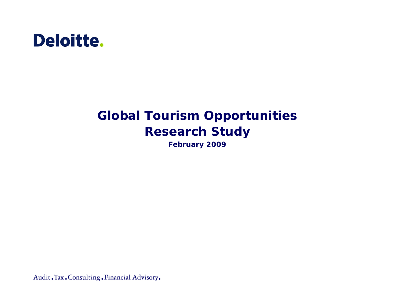

# **Global Tourism Opportunities Research Study**

**February 2009**

Audit. Tax. Consulting. Financial Advisory.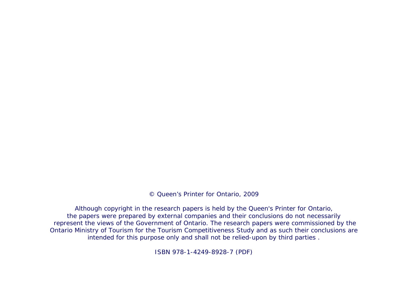© Queen's Printer for Ontario, 2009

Although copyright in the research papers is held by the Queen's Printer for Ontario, the papers were prepared by external companies and their conclusions do not necessarily represent the views of the Government of Ontario. The research papers were commissioned by the Ontario Ministry of Tourism for the Tourism Competitiveness Study and as such their conclusions are intended for this purpose only and shall not be relied-upon by third parties .

ISBN 978-1-4249-8928-7 (PDF)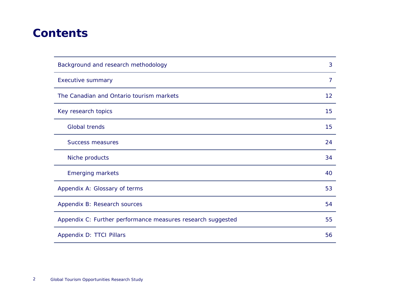# **Contents**

| Background and research methodology                         | 3  |
|-------------------------------------------------------------|----|
| <b>Executive summary</b>                                    | 7  |
| The Canadian and Ontario tourism markets                    | 12 |
| Key research topics                                         | 15 |
| Global trends                                               | 15 |
| <b>Success measures</b>                                     | 24 |
| Niche products                                              | 34 |
| <b>Emerging markets</b>                                     | 40 |
| Appendix A: Glossary of terms                               | 53 |
| Appendix B: Research sources                                | 54 |
| Appendix C: Further performance measures research suggested | 55 |
| Appendix D: TTCI Pillars                                    | 56 |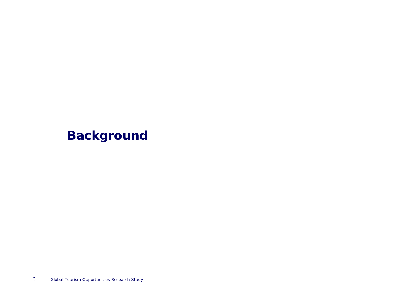# **Background**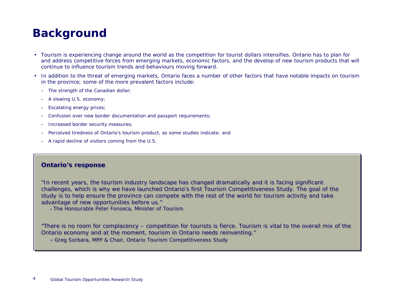# **Background**

- Tourism is experiencing change around the world as the competition for tourist dollars intensifies. Ontario has to plan for and address competitive forces from emerging markets, economic factors, and the develop of new tourism products that will continue to influence tourism trends and behaviours moving forward.
- • In addition to the threat of emerging markets, Ontario faces a number of other factors that have notable impacts on tourism in the province; some of the more prevalent factors include:
	- The strength of the Canadian dollar;
	- –A slowing U.S. economy;
	- –Escalating energy prices;
	- –Confusion over new border documentation and passport requirements;
	- –Increased border security measures;
	- –Perceived tiredness of Ontario's tourism product, as some studies indicate; and
	- A rapid decline of visitors coming from the U.S.

### **Ontario's response Ontario's response**

"In recent years, the tourism industry landscape has changed dramatically and it is facing significant "In recent years, the tourism industry landscape has changed dramatically and it is facing significant challenges, which is why we have launched Ontario's first Tourism Competitiveness Study. The goal of the challenges, which is why we have launched Ontario's first Tourism Competitiveness Study. The goal of the study is to help ensure the province can compete with the rest of the world for tourism activity and take study is to help ensure the province can compete with the rest of the world for tourism activity and take advantage of new opportunities before us." advantage of new opportunities before us."

*- The Honourable Peter Fonseca, Minister of Tourism - The Honourable Peter Fonseca, Minister of Tourism*

"There is no room for complacency – competition for tourists is fierce. Tourism is vital to the overall mix of the Ontario economy and at the moment, tourism in Ontario needs reinventing." Ontario economy and at the moment, tourism in Ontario needs reinventing."

*- Greg Sorbara, MPP & Chair, Ontario Tourism Competitiveness Study - Greg Sorbara, MPP & Chair, Ontario Tourism Competitiveness Study*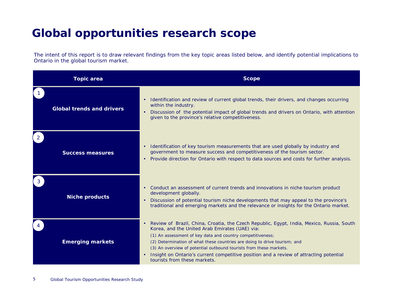# **Global opportunities research scope**

The intent of this report is to draw relevant findings from the key topic areas listed below, and identify potential implications to Ontario in the global tourism market.

| <b>Topic area</b>                | <b>Scope</b>                                                                                                                                                                                                                                                                                                                                                                                                                                                                                                     |
|----------------------------------|------------------------------------------------------------------------------------------------------------------------------------------------------------------------------------------------------------------------------------------------------------------------------------------------------------------------------------------------------------------------------------------------------------------------------------------------------------------------------------------------------------------|
| <b>Global trends and drivers</b> | Identification and review of current global trends, their drivers, and changes occurring<br>$\bullet$<br>within the industry.<br>Discussion of the potential impact of global trends and drivers on Ontario, with attention<br>$\bullet$<br>given to the province's relative competitiveness.                                                                                                                                                                                                                    |
| <b>Success measures</b>          | Identification of key tourism measurements that are used globally by industry and<br>$\bullet$<br>government to measure success and competitiveness of the tourism sector.<br>Provide direction for Ontario with respect to data sources and costs for further analysis.<br>٠                                                                                                                                                                                                                                    |
| <b>Niche products</b>            | Conduct an assessment of current trends and innovations in niche tourism product<br>$\bullet$<br>development globally.<br>Discussion of potential tourism niche developments that may appeal to the province's<br>$\bullet$<br>traditional and emerging markets and the relevance or insights for the Ontario market.                                                                                                                                                                                            |
| <b>Emerging markets</b>          | Review of Brazil, China, Croatia, the Czech Republic, Egypt, India, Mexico, Russia, South<br>$\bullet$<br>Korea, and the United Arab Emirates (UAE) via:<br>(1) An assessment of key data and country competitiveness;<br>(2) Determination of what these countries are doing to drive tourism; and<br>(3) An overview of potential outbound tourists from these markets.<br>Insight on Ontario's current competitive position and a review of attracting potential<br>$\bullet$<br>tourists from these markets. |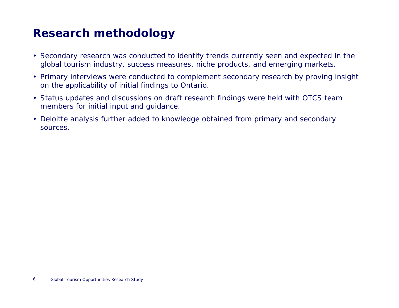# **Research methodology**

- Secondary research was conducted to identify trends currently seen and expected in the global tourism industry, success measures, niche products, and emerging markets.
- Primary interviews were conducted to complement secondary research by proving insight on the applicability of initial findings to Ontario.
- Status updates and discussions on draft research findings were held with OTCS team members for initial input and guidance.
- Deloitte analysis further added to knowledge obtained from primary and secondary sources.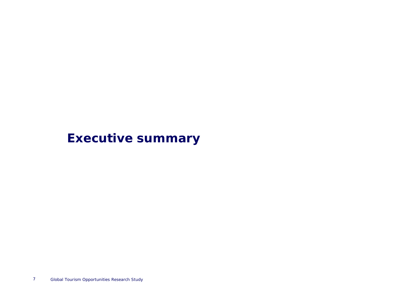# **Executive summary**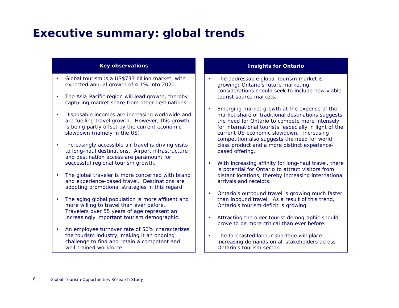### **Executive summary: global trends**

#### **Key observations**

- • Global tourism is a US\$733 billion market, with expected annual growth of 4.1% into 2020.
- • The Asia-Pacific region will lead growth, thereby capturing market share from other destinations.
- • Disposable incomes are increasing worldwide and are fuelling travel growth. However, this growth is being partly offset by the current economic slowdown (namely in the US).
- Increasingly accessible air travel is driving visits to long-haul destinations. Airport infrastructure and destination access are paramount for successful regional tourism growth.
- The global traveler is more concerned with brand and experience-based travel. Destinations are adopting promotional strategies in this regard.
- The aging global population is more affluent and more willing to travel than ever before. Travelers over 55 years of age represent an increasingly important tourism demographic.
- An employee turnover rate of 50% characterizes the tourism industry, making it an ongoing challenge to find and retain a competent and well-trained workforce

- • The addressable global tourism market is growing; Ontario's future marketing considerations should seek to include new viable tourist source markets.
- • Emerging market growth at the expense of the market share of traditional destinations suggests the need for Ontario to compete more intensely for international tourists, especially in light of the current US economic slowdown. Increasing competition also suggests the need for world class product and a more distinct experiencebased offering.
- • With increasing affinity for long-haul travel, there is potential for Ontario to attract visitors from distant locations, thereby increasing international arrivals and receipts.
- • Ontario's outbound travel is growing much faster than inbound travel. As a result of this trend, Ontario's tourism deficit is growing.
- • Attracting the older tourist demographic should prove to be more critical than ever before.
- • The forecasted labour shortage will place increasing demands on all stakeholders across Ontario's tourism sector.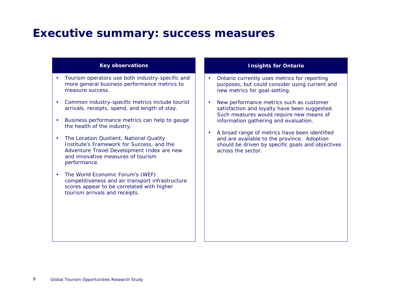### **Executive summary: success measures**

#### **Key observations**

- Tourism operators use both industry-specific and more general business performance metrics to measure success.
- Common industry-specific metrics include tourist arrivals, receipts, spend, and length of stay.
- • Business performance metrics can help to gauge the health of the industry.
- The Location Quotient, National Quality Institute's Framework for Success, and the Adventure Travel Development Index are new and innovative measures of tourism performance.
- The World Economic Forum's (WEF) competitiveness and air transport infrastructure scores appear to be correlated with higher tourism arrivals and receipts.

- • Ontario currently uses metrics for reporting purposes, but could consider using current and new metrics for goal-setting.
- • New performance metrics such as customer satisfaction and loyalty have been suggested. Such measures would require new means of information gathering and evaluation.
- A broad range of metrics have been identified and are available to the province. Adoption should be driven by specific goals and objectives across the sector.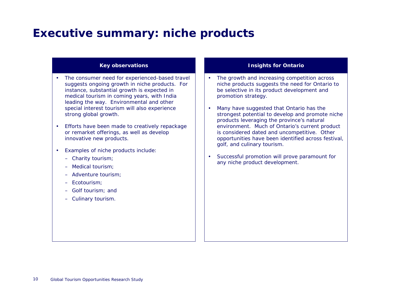### **Executive summary: niche products**

#### **Key observations**

- The consumer need for experienced-based travel suggests ongoing growth in niche products. For instance, substantial growth is expected in medical tourism in coming years, with India leading the way. Environmental and other special interest tourism will also experience strong global growth.
- Efforts have been made to creatively repackage or remarket offerings, as well as develop innovative new products.
- Examples of niche products include:
	- Charity tourism;
	- Medical tourism;
	- Adventure tourism;
	- Ecotourism;
	- Golf tourism; and
	- Culinary tourism.

- •The growth and increasing competition across niche products suggests the need for Ontario to be selective in its product development and promotion strategy.
- • Many have suggested that Ontario has the strongest potential to develop and promote niche products leveraging the province's natural environment. Much of Ontario's current product is considered dated and uncompetitive. Other opportunities have been identified across festival, golf, and culinary tourism.
- • Successful promotion will prove paramount for any niche product development.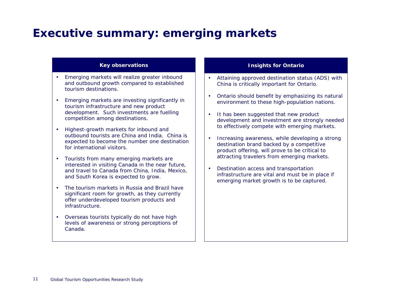### **Executive summary: emerging markets**

#### **Key observations**

- Emerging markets will realize greater inbound and outbound growth compared to established tourism destinations.
- Emerging markets are investing significantly in tourism infrastructure and new product development. Such investments are fuelling competition among destinations.
- Highest-growth markets for inbound and outbound tourists are China and India. China is expected to become the number one destination for international visitors.
- Tourists from many emerging markets are interested in visiting Canada in the near future, and travel to Canada from China, India, Mexico, and South Korea is expected to grow.
- The tourism markets in Russia and Brazil have significant room for growth, as they currently offer underdeveloped tourism products and infrastructure.
- Overseas tourists typically do not have high levels of awareness or strong perceptions of Canada.

- Attaining approved destination status (ADS) with China is critically important for Ontario.
- Ontario should benefit by emphasizing its natural environment to these high-population nations.
- It has been suggested that new product development and investment are strongly needed to effectively compete with emerging markets.
- • Increasing awareness, while developing a strong destination brand backed by a competitive product offering, will prove to be critical to attracting travelers from emerging markets.
- • Destination access and transportation infrastructure are vital and must be in place if emerging market growth is to be captured.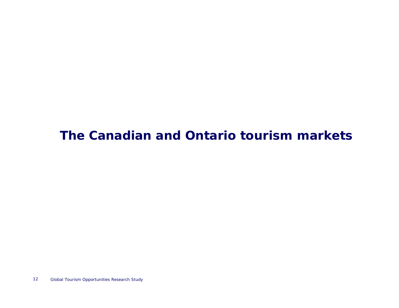# **The Canadian and Ontario tourism markets**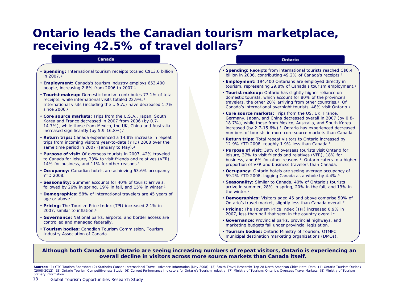### **Ontario leads the Canadian tourism marketplace, receiving 42.5% of travel dollars7**

#### Canada

- •**• Spending:** International tourism receipts totaled C\$13.0 billion in 2007.1
- **Employment:** Canada's tourism industry employs 653,400 people, increasing 2. 8% from 2006 to 2007.1
- **Tourist makeup:** Domestic tourism contributes 77.1% of total receipts, while international visits totaled 22.9%.1 International visits (including the U.S.A.) have decreased 1.7% since 2006.<sup>1</sup>
- **Core source markets:** Tri ps from the U.S.A., Japan, South Korea and France decreased in 2007 from 2006 (by 0.7- 14.7%), while those from Mexico, the UK, China and Australia increased significantly (by 5.9-16.8%).1
- **Return trips:** Canada experienced a 1 4.8% increase in repeat tri ps from incoming visitors year-to-date (YTD) 2008 over the same time period in 2007 (January to May).<sup>2</sup>
- **Purpose of visit:** Of overseas tourists i n 2007, 42% traveled to Canada for leisure, 33% to visit fri ends and relatives (VFR), 14% for business, and 11% for other reasons.<sup>1</sup>
- **Occupancy:** Canadian hotels are achieving 63.6% occupancy YTD 2008.
- **Seasonality:** Summer accounts for 40% of tourist arrival s, followed by 26% in spring, 19% in fall, and 15% in winter.1
- **Demographics:** 58% of international travelers are 45 years of age or above.1
- **Pricing:** The Tourism Price Index (TPI) increased 2.1% in 2007, simil ar to inflation.4
- **Governance:** National parks, airports, and border access are controlled and managed federally.
- **Tourism bodies:** Canadian Tourism Commission, Tourism Industry Association of Canada.

#### Ontario

- •**Spending:** Receipts from international tourists reached C\$6.4 billion in 2006, contributing 49.2% of Canada's receipts.7
- **Employment:** 194,400 Ontarians are employed directly in tourism, representing 29. 8% of Canada's tourism employment.5
- **Tourist makeup:** Ontario has slightly higher reliance on domestic tourists, which account for 80% of the province's travelers, the other 20% arriving from other countries.5 Of Canada's international overnight tourists, 48% visit Ontario.1
- **Core source markets:** Trips from the US, UK, France, Germany, Japan, and China decreased overall in 2007 (by 0.8- 18.7%), while those from Mexico, Australia, and South Korea increased (by 2.7-15. 6%).1 Ontario has experienced decreased numbers of tourists in more core source markets than Canada.
- **Return trips:** Total repeat visitors to Ontario increased by 12. 9% YTD 2008, roughly 1.9% less than Canada.2
- **Purpose of visit:** 39% of overseas tourists visit Ontario for lei sure, 37% to visit friends and rel atives (VFR), 1 8% for business, and 6% for other reasons.<sup>7</sup> Ontario caters to a higher proportion of VFR and business travelers than Canada.
- **Occupancy:** Ontario hotels are seeing average occupancy of 59. 2% YTD 2008, lagging Canada as a whole by 4. 4%.6
- **Seasonality:** Similar to Canada, 40% of Ontario's tourists arrive in summer, 28% in spring, 20% in the fall, and 13% in the winter.7
- **Demographics:**  Visitors aged 45 and above comprise 50% of Ontario's travel market, slightly less than Canada overall.<sup>7</sup>
- **Pricing:** The Tourism Price Index (TPI) increased 0.9% in 2007, less than half that seen in the country overall.4
- **Governance:** Provincial parks, provincial hi ghways, and marketing budgets fall under provincial l egislation.
- **Tourism bodies:** Ontario Ministry of Tourism, OTMPC, municipal destination marketing organizations (DMOs).

#### Although both Canada and Ontario are seeing increasing numbers of repeat visitors, Ontario is experiencing an  $\,$ **overall decline in visitors across more source markets than Canada itself.**

Sources: (1) CTC Tourism Snapshot; (2) Statistics Canada International Travel: Advance Information (May 2008); (3) Smith Travel Research: Top 28 North American Cities Hotel Data; (4) Ontario Tourism Outlook (2008-2012); (5) Ontario Tourism Competitiveness Study; (6) Current Performance Indicators for Ontario's Tourism Industry; (7) Ministry of Tourism: Ontario's Overseas Travel Markets; (8) Ministry of Tourism primary information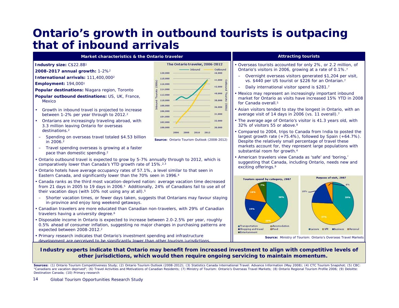### **Ontario's growth in outbound tourists is outpacing that of inbound arrivals**

**Market characteristics & the Ontario traveler**

- **Industry size:** C\$22.8B1
- **2008-2017 annual growth:** 1-2%2
- **International arrivals:** 111,400,0002
- **Employment:** 194,0001
- **Popular destinations:** Niagara region, Toronto
- **Popular outbound destinations:** US, UK, France, Mexico
- • Growth in inbound travel is projected to increase between 1-2% per year through to 2012.2
- Ontarians are increasingly traveling abroad, with 3.3 million leaving Ontario for overseas destinations.2
- – Spending on overseas travel totaled \$4.53 billion in 2006.2
- Travel spending overseas is growing at a faster pace than domestic spending.2
- Ontario outbound travel is expected to grow by 5-7% annually through to 2012, which is comparatively lower than Canada's YTD growth rate of 15%.2,3
- Ontario hotels have average occupancy rates of 57.1%, a level similar to that seen in Eastern Canada, and significantly lower than the 70% seen in 1996.4
- Canada ranks as the third most vacation-deprived nation: average vacation time decreased from 21 days in 2005 to 19 days in 2006.5 Additionally, 24% of Canadians fail to use all of their vacation days (with 10% not using any at all).<sup>5</sup>
- Shorter vacation times, or fewer days taken, suggests that Ontarians may favour staying in-province and enjoy long weekend getaways.
- Canadian travelers are more educated than Canadian non-travelers, with 29% of Canadian travelers having a university degree.<sup>6</sup>
- Disposable income in Ontario is expected to increase between 2.0-2.5% per year, roughly 0.5% ahead of consumer inflation, suggesting no major changes in purchasing patterns are expected between 2008-2012.2
- Primary research indicates that Ontario's investment spending and infrastructure development are perceived to be significantly lower than other tourism jurisdictions.



**Source:** Ontario Tourism Outlook (2008-2012)

#### **Attracting tourists**

- • Overseas tourists accounted for only 2%, or 2.2 million, of Ontario's visitors in 2006, growing at a rate of 0.1%.7
- – Overnight overseas visitors generated \$1,204 per visit, vs. \$440 per US tourist or \$226 for an Ontarian.7
- –Daily international visitor spend is \$281.7
- Mexico may represent an increasingly important inbound market for Ontario as visits have increased 15% YTD in 2008 for Canada overall 5
- Asian visitors tended to stay the longest in Ontario, with an average visit of 14 days in 2006 (vs. 11 overall).7
- The average age of Ontario's visitor is 41.3 years old, with 32% of visitors 55 or above.8
- • Compared to 2004, trips to Canada from India to posted the largest growth rate (+75.4%), followed by Spain (+64.7%). Despite the relatively small percentage of travel these markets account for, they represent large populations with substantial room for growth.4
- • American travelers view Canada as 'safe' and 'boring,' suggesting that Canada, including Ontario, needs new and exciting offerings.9



#### **Industry experts indicate that Ontario may benefit from increased investment to align with competitive levels of other jurisdictions, which would then require ongoing servicing to maintain momentum.**

Sources: (1) Ontario Tourism Competitiveness Study; (2) Ontario Tourism Outlook (2008-2012); (3) Statistics Canada International Travel: Advance Information (May 2008); (4) CTC Tourism Snapshot; (5) CBC: "Canadians are vacation deprived"; (6) Travel Activities and Motivations of Canadian Residents; (7) Ministry of Tourism: Ontario's Overseas Travel Markets; (8) Ontario Regional Tourism Profile 2006; (9) Deloitte: Destination Canada; (10) Primary research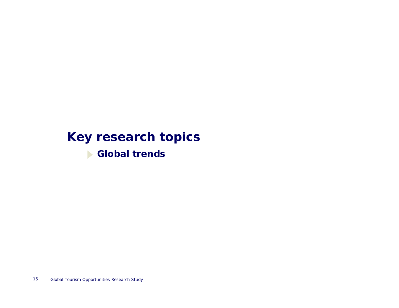# **Key research topics**

**Global trends**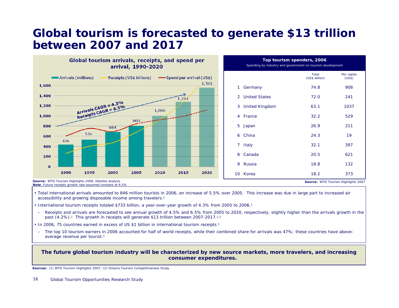### **Global tourism is forecasted to generate \$13 trillion between 2007 and 2017**



|    | Top tourism spenders, 2006<br>Spending by industry and government on tourism development |                                |                      |  |  |  |
|----|------------------------------------------------------------------------------------------|--------------------------------|----------------------|--|--|--|
|    |                                                                                          | <b>Total</b><br>(US\$ billion) | Per capita<br>(US\$) |  |  |  |
| 1  | Germany                                                                                  | 74.8                           | 908                  |  |  |  |
| 2  | <b>United States</b>                                                                     | 72.0                           | 241                  |  |  |  |
| 3  | <b>United Kingdom</b>                                                                    | 63.1                           | 1037                 |  |  |  |
| 4  | France                                                                                   | 32.2                           | 529                  |  |  |  |
| 5  | Japan                                                                                    | 26.9                           | 211                  |  |  |  |
| 6  | China                                                                                    | 24.3                           | 19                   |  |  |  |
| 7  | Italy                                                                                    | 32.1                           | 397                  |  |  |  |
| 8  | Canada                                                                                   | 20.5                           | 621                  |  |  |  |
| 9  | <b>Russia</b>                                                                            | 18.8                           | 132                  |  |  |  |
| 10 | Korea                                                                                    | 18.2                           | 373                  |  |  |  |

**Source:** WTO Tourism Highlights 2007

**Source: WTO Tourism Highlights 2008, Deloitte analysis Note**: Future receipts growth rate assumed constant at 6.5%

- Total international arrivals amounted to 846 million tourists in 2006, an increase of 5.5% over 2005. This increase was due in large part to increased air accessibility and growing disposable income among travelers.1
- International tourism receipts totaled \$733 billion, a year-over-year growth of 4.3% from 2005 to 2006.1
- Receipts and arrivals are forecasted to see annual growth of 4.5% and 6.5% from 2005 to 2020, respectively, slightly higher than the arrivals growth in the past  $(4.2\%)$ .<sup>1</sup> This growth in receipts will generate \$13 trillion between 2007-2017.<sup>1,2</sup>
- In 2006, 75 countries earned in excess of US \$1 billion in international tourism receipts.1
- –The top 10 tourism earners in 2006 accounted for half of world receipts, while their combined share for arrivals was 47%; these countries have aboveaverage revenue per tourist.1

#### **The future global tourism industry will be characterized by new source markets, more travelers, and increasing consumer expenditures.**

**Sources:** (1) WTO Tourism Highlights 2007; (2) Ontario Tourism Competitiveness Study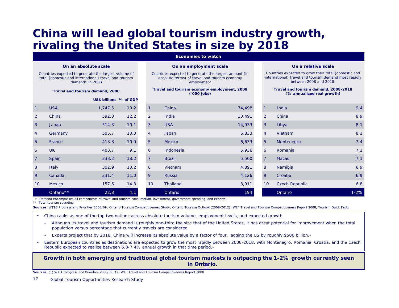# **China will lead global tourism industry growth, rivaling the United States in size by 2018**

#### **Economies to watch**

**On an employment scale** Countries expected to generate the largest amount (in absolute terms) of travel and tourism economy

#### **On an absolute scale**

Countries expected to generate the largest volume of total (domestic and international) travel and tourism demand\* in 2008

#### **Travel and tourism demand, 2008**

|                 |            |                        | ('000 jobs) |                |                                                                                                                      | (% annualized real growth) |                 |                       |          |
|-----------------|------------|------------------------|-------------|----------------|----------------------------------------------------------------------------------------------------------------------|----------------------------|-----------------|-----------------------|----------|
|                 |            | US\$ billions % of GDP |             |                |                                                                                                                      |                            |                 |                       |          |
|                 | <b>USA</b> | 1,747.5                | 10.2        |                | China                                                                                                                | 74,498                     | 1               | India                 | 9.4      |
| $\overline{2}$  | China      | 592.0                  | 12.2        | 2              | India                                                                                                                | 30,491                     | <sup>2</sup>    | China                 | 8.9      |
| $\mathbf{3}$    | Japan      | 514.3                  | 10.1        | 3              | <b>USA</b>                                                                                                           | 14,933                     | $\mathbf{3}$    | Libya                 | 8.1      |
| 4               | Germany    | 505.7                  | 10.0        | $\overline{4}$ | Japan                                                                                                                | 6,833                      | $\overline{4}$  | Vietnam               | 8.1      |
| 5 <sup>5</sup>  | France     | 418.8                  | 10.9        | 5              | Mexico                                                                                                               | 6,633                      | 5 <sup>5</sup>  | Montenegro            | 7.4      |
| 6               | <b>UK</b>  | 403.7                  | 9.1         | 6              | Indonesia                                                                                                            | 5,936                      | 6               | Romania               | 7.1      |
| $\overline{7}$  | Spain      | 338.2                  | 18.2        | $\overline{7}$ | <b>Brazil</b>                                                                                                        | 5,500                      | $\overline{7}$  | Macau                 | 7.1      |
| 8               | Italy      | 302.9                  | 10.2        | 8              | Vietnam                                                                                                              | 4,891                      | 8               | Namibia               | 6.9      |
| 9               | Canada     | 231.4                  | 11.0        | 9              | Russia                                                                                                               | 4,126                      | 9               | Croatia               | 6.9      |
| 10 <sup>°</sup> | Mexico     | 157.6                  | 14.3        | 10             | Thailand                                                                                                             | 3,911                      | 10 <sup>°</sup> | <b>Czech Republic</b> | 6.8      |
|                 | Ontario**  | 22.8                   | 4.1         |                | Ontario                                                                                                              | 194                        |                 | Ontario               | $1 - 2%$ |
|                 |            |                        |             |                | * Demand encompasses all components of travel and tourism consumption, investment, government spending, and exports. |                            |                 |                       |          |

employment **Travel and tourism economy employment, 2008 ('000 jobs)**

#### **On a relative scale**

Countries expected to grow their total (domestic and international) travel and tourism demand most rapidly between 2008 and 2018.

#### **Travel and tourism demand, 2008-2018 (% annualized real growth)**

| 1,747.5 | 10.2 | $\overline{1}$ | China         | 74,498 | $\sqrt{1}$     | India                 | 9.4      |
|---------|------|----------------|---------------|--------|----------------|-----------------------|----------|
| 592.0   | 12.2 | $\overline{2}$ | India         | 30,491 | $\overline{2}$ | China                 | 8.9      |
| 514.3   | 10.1 | 3              | <b>USA</b>    | 14,933 | 3 <sup>°</sup> | Libya                 | 8.1      |
| 505.7   | 10.0 | $\overline{4}$ | Japan         | 6,833  | $\overline{4}$ | Vietnam               | 8.1      |
| 418.8   | 10.9 | 5 <sup>5</sup> | Mexico        | 6,633  | 5 <sup>5</sup> | Montenegro            | 7.4      |
| 403.7   | 9.1  | 6              | Indonesia     | 5,936  | 6              | Romania               | 7.1      |
| 338.2   | 18.2 | $\overline{7}$ | <b>Brazil</b> | 5,500  | $\overline{7}$ | Macau                 | 7.1      |
| 302.9   | 10.2 | 8              | Vietnam       | 4,891  | 8              | Namibia               | 6.9      |
| 231.4   | 11.0 | 9              | Russia        | 4,126  | 9              | Croatia               | 6.9      |
| 157.6   | 14.3 | 10             | Thailand      | 3,911  | 10             | <b>Czech Republic</b> | 6.8      |
| 22.8    | 4.1  |                | Ontario       | 194    |                | Ontario               | $1 - 2%$ |

\*\* Total tourism spending.

**Sources:** WTTC Progress and Priorities 2008/09; Ontario Tourism Competitiveness Study; Ontario Tourism Outlook (2008-2012); WEF Travel and Tourism Competitiveness Report 2008, Tourism Quick Facts

- • China ranks as one of the top two nations across absolute tourism volume, employment levels, and expected growth.
	- – Although its travel and tourism demand is roughly one-third the size that of the United States, it has great potential for improvement when the total population versus percentage that currently travels are considered.
	- –Experts project that by 2018, China will increase its absolute value by a factor of four, lagging the US by roughly \$500 billion.1
- • Eastern European countries as destinations are expected to grow the most rapidly between 2008-2018, with Montenegro, Romania, Croatia, and the Czech Republic expected to realize between 6.8-7.4% annual growth in that time period.1

#### **Growth in both emerging and traditional global tourism markets is outpacing the 1-2% growth currently seen in Ontario.**

**Sources:** (1) WTTC Progress and Priorities 2008/09; (2) WEF Travel and Tourism Competitiveness Report 2008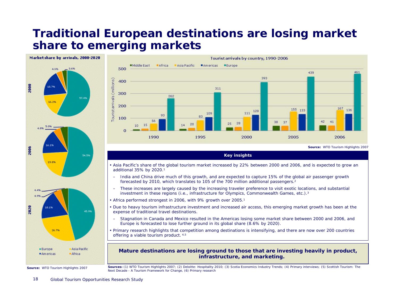# **Traditional European destinations are losing market share to emerging markets**



**Source:** WTO Tourism Highlights 2007



**Source:** WTO Tourism Highlights 2007

**Key insights**

- Asia Pacific's share of the global tourism market increased by 22% between 2000 and 2006, and is expected to grow an additional 35% by 2020.1
- – India and China drive much of this growth, and are expected to capture 15% of the global air passenger growth forecasted by 2010, which translates to 105 of the 700 million additional passengers.2
- – These increases are largely caused by the increasing traveler preference to visit exotic locations, and substantial investment in these regions (i.e., infrastructure for Olympics, Commonwealth Games, etc.).3
- Africa performed strongest in 2006, with 9% growth over 2005.1
- Due to heavy tourism infrastructure investment and increased air access, this emerging market growth has been at the expense of traditional travel destinations.
- – Stagnation in Canada and Mexico resulted in the Americas losing some market share between 2000 and 2006, and Europe is forecasted to lose further ground in its global share (8.6% by 2020).
- Primary research highlights that competition among destinations is intensifying, and there are now over 200 countries offering a viable tourism product. 4,5

#### **Mature destinations are losing ground to those that are investing heavily in product, infrastructure, and marketing.**

**Sources:** (1) WTO Tourism Highlights 2007; (2) Deloitte: Hospitality 2010; (3) Scotia Economics Industry Trends; (4) Primary interviews; (5) Scottish Tourism: The Next Decade - A Tourism Framework for Change, (6) Primary research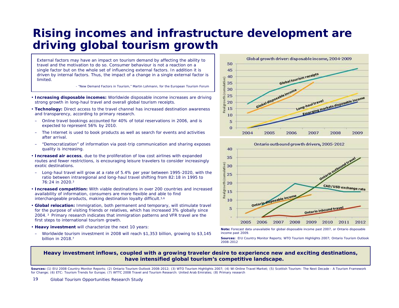# **Rising incomes and infrastructure development are driving global tourism growth**

*External factors may have an impact on tourism demand by affecting the ability to travel and the motivation to do so. Consumer behaviour is not a reaction on a single factor but on the whole set of influencing external factors. In addition it is driven by internal factors. Thus, the impact of a change in a single external factor is limited.*

- "New Demand Factors in Tourism," Martin Lohmann, for the European Tourism Forum

- **Increasing disposable incomes:** Worldwide disposable income increases are driving strong growth in long-haul travel and overall global tourism receipts.
- **Technology:** Direct access to the travel channel has increased destination awareness and transparency, according to primary research.
- – Online travel bookings accounted for 40% of total reservations in 2006, and is expected to represent 56% by 2010.
- $\equiv$  The Internet is used to book products as well as search for events and activities after arrival.
- $\equiv$  "Democratization" of information via post-trip communication and sharing exposes quality is increasing.
- **Increased air access**, due to the proliferation of low cost airlines with expanded routes and fewer restrictions, is encouraging leisure travelers to consider increasingly exotic destinations.
- Long-haul travel will grow at a rate of 5.4% per year between 1995-2020, with the ratio between intraregional and long-haul travel shifting from 82:18 in 1995 to 76:24 in 2020.3
- **Increased competition:** With viable destinations in over 200 countries and increased availability of information, consumers are more flexible and able to find interchangeable products, making destination loyalty difficult.<sup>5,6</sup>
- **Global relocation:** Immigration, both permanent and temporary, will stimulate travel for the purpose of visiting friends or relatives, which has increased 3% globally since 2004. 3 Primary research indicates that immigration patterns and VFR travel are the first steps to international tourism growth.
- **Heavy investment** will characterize the next 10 years:
- – Worldwide tourism investment in 2008 will reach \$1,353 billion, growing to \$3,145 billion in 2018.7





**Note:** Forecast data unavailable for global disposable income past 2007, or Ontario disposable income past 2009.

**Sources:** EIU Country Monitor Reports; WTO Tourism Highlights 2007; Ontario Tourism Outlook 2008-2012

#### **Heavy investment inflows, coupled with a growing traveler desire to experience new and exciting destinations, have intensified global tourism's competitive landscape.**

Sources: (1) EIU 2008 Country Monitor Reports; (2) Ontario Tourism Outlook 2008-2012; (3) WTO Tourism Highlights 2007; (4) Wi Online Travel Market; (5) Scottish Tourism: The Next Decade - A Tourism Framework for Change; (6) ETC: Tourism Trends for Europe; (7) WTTC 2008 Travel and Tourism Research: United Arab Emirates; (8) Primary research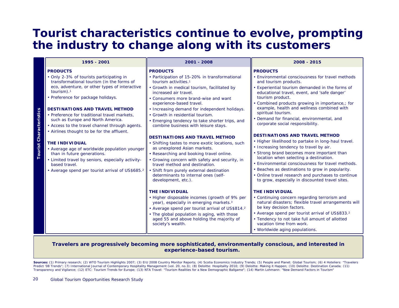### **Tourist characteristics continue to evolve, prompting the industry to change along with its customers**

|                            | 1995 - 2001                                                                                                                                                                                                                                                                                                                                                                                                                                                                                                                                                                                                                                                                                | 2001 - 2008                                                                                                                                                                                                                                                                                                                                                                                                                                                                                                                                                                                                                                                                                                                                                                                             | 2008 - 2015                                                                                                                                                                                                                                                                                                                                                                                                                                                                                                                                                                                                                                                                                                                                                                                                                                                        |
|----------------------------|--------------------------------------------------------------------------------------------------------------------------------------------------------------------------------------------------------------------------------------------------------------------------------------------------------------------------------------------------------------------------------------------------------------------------------------------------------------------------------------------------------------------------------------------------------------------------------------------------------------------------------------------------------------------------------------------|---------------------------------------------------------------------------------------------------------------------------------------------------------------------------------------------------------------------------------------------------------------------------------------------------------------------------------------------------------------------------------------------------------------------------------------------------------------------------------------------------------------------------------------------------------------------------------------------------------------------------------------------------------------------------------------------------------------------------------------------------------------------------------------------------------|--------------------------------------------------------------------------------------------------------------------------------------------------------------------------------------------------------------------------------------------------------------------------------------------------------------------------------------------------------------------------------------------------------------------------------------------------------------------------------------------------------------------------------------------------------------------------------------------------------------------------------------------------------------------------------------------------------------------------------------------------------------------------------------------------------------------------------------------------------------------|
| stics<br>ourist Characteri | <b>PRODUCTS</b><br>• Only 2-3% of tourists participating in<br>transformational tourism (in the forms of<br>eco, adventure, or other types of interactive<br>tourism). <sup>1</sup><br>• Preference for package holidays.<br><b>DESTINATIONS AND TRAVEL METHOD</b><br>• Preference for traditional travel markets.<br>such as Europe and North America.<br>• Access to the travel channel through agents.<br>• Airlines thought to be for the affluent.<br><b>THE INDIVIDUAL</b><br>• Average age of worldwide population younger<br>than in future generations.<br>• Limited travel by seniors, especially activity-<br>based travel.<br>• Average spend per tourist arrival of US\$685.2 | <b>PRODUCTS</b><br>• Participation of 15-20% in transformational<br>tourism activities. <sup>1</sup><br>• Growth in medical tourism, facilitated by<br>increased air travel.<br>• Consumers more brand-wise and want<br>experience-based travel.<br>• Increasing demand for independent holidays.<br>• Growth in residential tourism.<br>• Emerging tendency to take shorter trips, and<br>combine business with leisure stays.<br><b>DESTINATIONS AND TRAVEL METHOD</b><br>• Shifting tastes to more exotic locations, such<br>as unexplored Asian markets.<br>• Researching and booking travel online.<br>• Growing concern with safety and security, in<br>travel method and destination.<br>· Shift from purely external destination<br>determinants to internal ones (self-<br>development, etc.). | <b>PRODUCTS</b><br>• Environmental consciousness for travel methods<br>and tourism products.<br>Experiential tourism demanded in the forms of<br>educational travel, event, and 'safe danger'<br>tourism product.<br>Combined products growing in importance, for<br>example, health and wellness combined with<br>spiritual tourism.<br>Demand for financial, environmental, and<br>corporate social responsibility.<br><b>DESTINATIONS AND TRAVEL METHOD</b><br>• Higher likelihood to partake in long-haul travel.<br>• Increasing tendency to travel by air.<br>Strong brand becomes more important than<br>location when selecting a destination.<br>Environmental consciousness for travel methods.<br>Beaches as destinations to grow in popularity.<br>Online travel research and purchases to continue<br>to grow, especially in discounted travel sites. |
|                            |                                                                                                                                                                                                                                                                                                                                                                                                                                                                                                                                                                                                                                                                                            | <b>THE INDIVIDUAL</b><br>• Higher disposable incomes (growth of 9% per<br>year), especially in emerging markets. <sup>3</sup><br>• Average spend per tourist arrival of US\$814.2<br>• The global population is aging, with those<br>aged 55 and above holding the majority of<br>society's wealth.                                                                                                                                                                                                                                                                                                                                                                                                                                                                                                     | <b>THE INDIVIDUAL</b><br>• Continuing concern regarding terrorism and<br>natural disasters; flexible travel arrangements will<br>be key decision factors.<br>• Average spend per tourist arrival of US\$833.2<br>• Tendency to not take full amount of allotted<br>vacation time from work.<br>• Worldwide aging populations.                                                                                                                                                                                                                                                                                                                                                                                                                                                                                                                                      |

#### **Travelers are progressively becoming more sophisticated, environmentally conscious, and interested in experience-based tourism.**

Sources: (1) Primary research; (2) WTO Tourism Highlights 2007; (3) EIU 2008 Country Monitor Reports; (4) Scotia Economics Industry Trends; (5) People and Planet: Global Tourism; (6) 4 Hoteliers: "Travelers Predict '08 Trends"; (7) International Journal of Contemporary Hospitality Management (vol. 20, no.3); (8) Deloitte: Hospitality 2010; (9) Deloitte: Making it Happen; (10) Deloitte: Destination Canada; (11) Transparency and Vigilance; (12) ETC: Tourism Trends for Europe; (13) NTA Travel: "Tourism Realities for a New Demographic Ballgame"; (14) Martin Lohmann: "New Demand Factors in Tourism"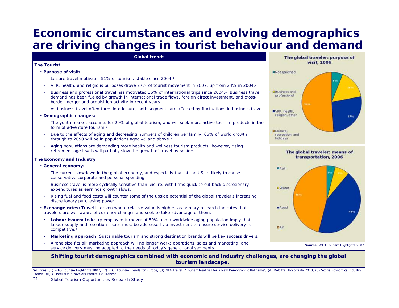# **Economic circumstances and evolving demographics are driving changes in tourist behaviour and demand**



Sources: (1) WTO Tourism Highlights 2007; (2) ETC: Tourism Trends for Europe; (3) NTA Travel: "Tourism Realities for a New Demographic Ballgame"; (4) Deloitte: Hospitality 2010; (5) Scotia Economics Industry Trends; (6) 4 Hoteliers: "Travelers Predict '08 Trends"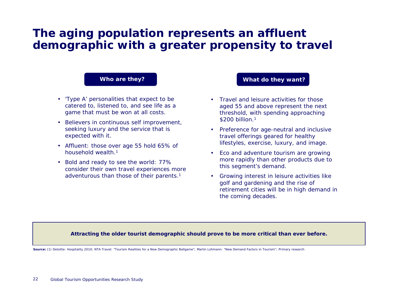# **The aging population represents an affluent demographic with a greater propensity to travel**

#### **Who are they?**

- 'Type A' personalities that expect to be catered to, listened to, and see life as a game that must be won at all costs.
- Believers in continuous self improvement, seeking luxury and the service that is expected with it.
- Affluent: those over age 55 hold 65% of household wealth.1
- • Bold and ready to see the world: 77% consider their own travel experiences more adventurous than those of their parents.1

#### **What do they want?**

- Travel and leisure activities for those aged 55 and above represent the next threshold, with spending approaching \$200 billion.1
- • Preference for age-neutral and inclusive travel offerings geared for healthy lifestyles, exercise, luxury, and image.
- Eco and adventure tourism are growing more rapidly than other products due to this segment's demand.
- • Growing interest in leisure activities like golf and gardening and the rise of retirement cities will be in high demand in the coming decades.

#### **Attracting the older tourist demographic should prove to be more critical than ever before.**

**Source:** (1) Deloitte: Hospitality 2010; NTA Travel: "Tourism Realities for a New Demographic Ballgame"; Martin Lohmann: "New Demand Factors in Tourism"; Primary research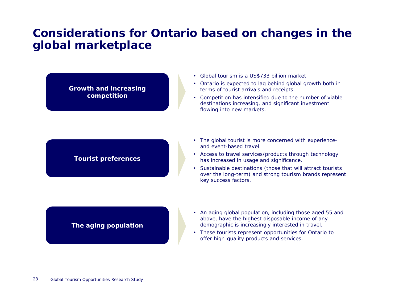### **Considerations for Ontario based on changes in the global marketplace**

**Growth and increasing competition**

- Global tourism is a US\$733 billion market.
- Ontario is expected to lag behind global growth both in terms of tourist arrivals and receipts.
- Competition has intensified due to the number of viable destinations increasing, and significant investment flowing into new markets.

### **Tourist preferences**

- The global tourist is more concerned with experienceand event-based travel.
- Access to travel services/products through technology has increased in usage and significance.
- Sustainable destinations (those that will attract tourists over the long-term) and strong tourism brands represent key success factors.

### **The aging population**

- An aging global population, including those aged 55 and above, have the highest disposable income of any demographic is increasingly interested in travel.
- These tourists represent opportunities for Ontario to offer high-quality products and services.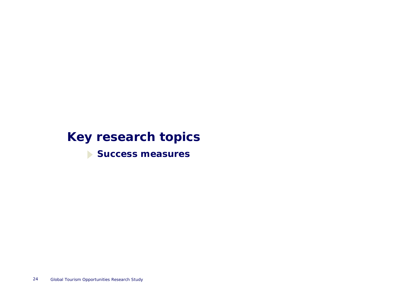# **Key research topics**

**Success measures**

24Global Tourism Opportunities Research Study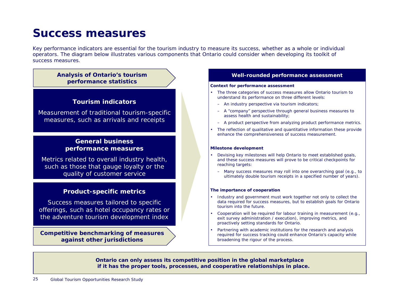### **Success measures**

Key performance indicators are essential for the tourism industry to measure its success, whether as a whole or individual operators. The diagram below illustrates various components that Ontario could consider when developing its toolkit of success measures.

#### **Analysis of Ontario's tourism performance statistics**

#### **Tourism indicators**

*Measurement of traditional tourism-specific measures, such as arrivals and receipts*

### **General business performance measures**

*Metrics related to overall industry health, such as those that gauge loyalty or the quality of customer service*

#### **Product-specific metrics**

*Success measures tailored to specific offerings, such as hotel occupancy rates or the adventure tourism development index*

**Competitive benchmarking of measures against other jurisdictions**

#### **Well-rounded performance assessment**

#### **Context for performance assessment**

- The three categories of success measures allow Ontario tourism to understand its performance on three different levels:
	- An industry perspective via tourism indicators;
	- A "company" perspective through general business measures to assess health and sustainability;
	- A product perspective from analyzing product performance metrics.
- • The reflection of qualitative and quantitative information these provide enhance the comprehensiveness of success measurement.

#### **Milestone development**

- • Devising key milestones will help Ontario to meet established goals, and these success measures will prove to be critical checkpoints for reaching targets:
	- Many success measures may roll into one overarching goal (e.g., to ultimately double tourism receipts in a specified number of years).

#### **The importance of cooperation**

- Industry and government must work together not only to collect the data required for success measures, but to establish goals for Ontario tourism into the future.
- • Cooperation will be required for labour training in measurement (e.g., exit survey administration / execution), improving metrics, and proactively setting standards for Ontario.
- • Partnering with academic institutions for the research and analysis required for success tracking could enhance Ontario's capacity while broadening the rigour of the process.

**Ontario can only assess its competitive position in the global marketplace if it has the proper tools, processes, and cooperative relationships in place.**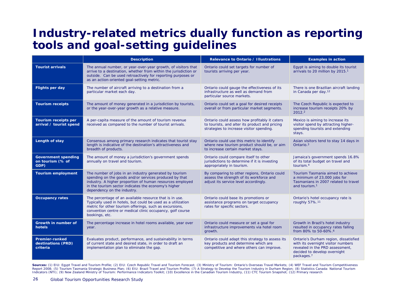# **Industry-related metrics dually function as reporting tools and goal-setting guidelines**

|                                                         | <b>Description</b>                                                                                                                                                                                                                                                   | <b>Relevance to Ontario / Illustrations</b>                                                                                                 | <b>Examples in action</b>                                                                                                                                                |
|---------------------------------------------------------|----------------------------------------------------------------------------------------------------------------------------------------------------------------------------------------------------------------------------------------------------------------------|---------------------------------------------------------------------------------------------------------------------------------------------|--------------------------------------------------------------------------------------------------------------------------------------------------------------------------|
| <b>Tourist arrivals</b>                                 | The annual number, or year-over-year growth, of visitors that<br>arrive to a destination, whether from within the jurisdiction or<br>outside. Can be used retroactively for reporting purposes or<br>as an action-oriented goal-setting metric.                      | Ontario could set targets for number of<br>tourists arriving per year.                                                                      | Egypt is aiming to double its tourist<br>arrivals to 20 million by 2015. <sup>1</sup>                                                                                    |
| <b>Flights per day</b>                                  | The number of aircraft arriving to a destination from a<br>particular market each day.                                                                                                                                                                               | Ontario could gauge the effectiveness of its<br>infrastructure as well as demand from<br>particular source markets.                         | There is one Brazilian aircraft landing<br>in Canada per day. <sup>12</sup>                                                                                              |
| <b>Tourism receipts</b>                                 | The amount of money generated in a jurisdiction by tourists,<br>or the year-over-year growth as a relative measure.                                                                                                                                                  | Ontario could set a goal for desired receipts<br>overall or from particular market segments.                                                | The Czech Republic is expected to<br>increase tourism receipts 20% by<br>2012.2                                                                                          |
| Tourism receipts per<br>arrival / tourist spend         | A per-capita measure of the amount of tourism revenue<br>received as compared to the number of tourist arrivals.                                                                                                                                                     | Ontario could assess how profitably it caters<br>to tourists, and alter its product and pricing<br>strategies to increase visitor spending. | Mexico is aiming to increase its<br>visitor spend by attracting higher-<br>spending tourists and extending<br>stays.                                                     |
| Length of stay                                          | Consensus among primary research indicates that tourist stay<br>length is indicative of the destination's attractiveness and<br>breadth of products.                                                                                                                 | Ontario could use this metric to identify<br>where new tourism product should be, or aim<br>to increase certain market stays.               | Asian visitors tend to stay 14 days in<br>Ontario. <sup>3</sup>                                                                                                          |
| <b>Government spending</b><br>on tourism (% of<br>GDP)  | The amount of money a jurisdiction's government spends<br>annually on travel and tourism.                                                                                                                                                                            | Ontario could compare itself to other<br>jurisdictions to determine if it is investing<br>appropriately in tourism.                         | Jamaica's government spends 16.8%<br>of its total budget on travel and<br>tourism. <sup>4</sup>                                                                          |
| <b>Tourism employment</b>                               | The number of jobs in an industry generated by tourism<br>spending on the goods and/or services produced by that<br>industry. A higher proportion of human resources employed<br>in the tourism sector indicates the economy's higher<br>dependency on the industry. | By comparing to other regions, Ontario could<br>assess the strength of its workforce and<br>adjust its service level accordingly.           | Tourism Tasmania aimed to achieve<br>a minimum of 23,000 jobs for<br>Tasmanians in 2007 related to travel<br>and tourism. <sup>1</sup>                                   |
| <b>Occupancy rates</b>                                  | The percentage of an available resource that is in use.<br>Typically used in hotels, but could be used as a utilization<br>metric for other tourism offerings, such as excursions,<br>convention centre or medical clinic occupancy, golf course<br>bookings, etc.   | Ontario could base its promotions or<br>assistance programs on target occupancy<br>rates for specific sectors.                              | Ontario's hotel occupancy rate is<br>roughly 57%. <sup>11</sup>                                                                                                          |
| Growth in number of<br>hotels                           | The percentage increase in hotel rooms available, year over<br>year.                                                                                                                                                                                                 | Ontario could measure or set a goal for<br>infrastructure improvements via hotel room<br>growth.                                            | Growth in Brazil's hotel industry<br>resulted in occupancy rates falling<br>from 80% to 50-60%. <sup>6</sup>                                                             |
| <b>Premier-ranked</b><br>destinations (PRD)<br>criteria | Evaluates product, performance, and sustainability in terms<br>of current state and desired state, in order to draft an<br>implementation plan to eliminate the gap.                                                                                                 | Ontario could adapt this strategy to assess its<br>key products and determine which are<br>competitive and where others can improve.        | Ontario's Durham region, dissatisfied<br>with its overnight visitor numbers<br>revealed in the PRD assessment,<br>decided to develop overnight<br>packages. <sup>7</sup> |

Sources: (1) EIU: Egypt Travel and Tourism Profile; (2) EIU: Czech Republic Travel and Tourism Forecast; (3) Ministry of Tourism: Ontario's Overseas Travel Markets; (4) WEF Travel and Tourism Competitiveness Report 2008; (5) Tourism Tasmania Strategic Business Plan; (6) EIU: Brazil Travel and Tourism Profile; (7) A Strategy to Develop the Tourism Industry in Durham Region; (8) Statistics Canada: National Tourism Indicators (NTI); (9) New Zealand Ministry of Tourism: Performance Indicators Toolkit; (10) Excellence in the Canadian Tourism Industry, (11) CTC Tourism Snapshot; (12) Primary research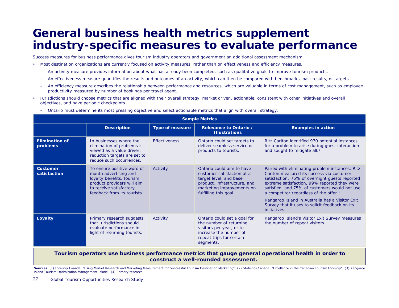### **General business health metrics supplement industry-specific measures to evaluate performance**

Success measures for business performance gives tourism industry operators and government an additional assessment mechanism.

- • Most destination organizations are currently focused on activity measures, rather than on effectiveness and efficiency measures.
	- $\overline{a}$ An activity measure provides information about what has already been completed, such as qualitative goals to improve tourism products.
	- –An effectiveness measure quantifies the results and outcomes of an activity, which can then be compared with benchmarks, past results, or targets.
	- – An efficiency measure describes the relationship between performance and resources, which are valuable in terms of cost management, such as employee productivity measured by number of bookings per travel agent.
- • Jurisdictions should choose metrics that are aligned with their overall strategy, market driven, actionable, consistent with other initiatives and overall objectives, and have periodic checkpoints.

| Ontario must determine its most pressing objective and select actionable metrics that align with overall strategy. |                                                                                                                                                                          |                        |                                                                                                                                                                         |                                                                                                                                                                                                                                                                                                                                                                                                                            |  |  |  |  |  |  |
|--------------------------------------------------------------------------------------------------------------------|--------------------------------------------------------------------------------------------------------------------------------------------------------------------------|------------------------|-------------------------------------------------------------------------------------------------------------------------------------------------------------------------|----------------------------------------------------------------------------------------------------------------------------------------------------------------------------------------------------------------------------------------------------------------------------------------------------------------------------------------------------------------------------------------------------------------------------|--|--|--|--|--|--|
|                                                                                                                    | <b>Sample Metrics</b>                                                                                                                                                    |                        |                                                                                                                                                                         |                                                                                                                                                                                                                                                                                                                                                                                                                            |  |  |  |  |  |  |
|                                                                                                                    | <b>Description</b>                                                                                                                                                       | <b>Type of measure</b> | Relevance to Ontario /<br><b>Illustrations</b>                                                                                                                          | <b>Examples in action</b>                                                                                                                                                                                                                                                                                                                                                                                                  |  |  |  |  |  |  |
| <b>Elimination of</b><br>problems                                                                                  | In businesses where the<br>elimination of problems is<br>viewed as a value driver,<br>reduction targets are set to<br>reduce such occurrences.                           | <b>Effectiveness</b>   | Ontario could set targets to<br>deliver seamless service or<br>products to tourists.                                                                                    | Ritz Carlton identified 970 potential instances<br>for a problem to arise during quest interaction<br>and sought to mitigate all. <sup>1</sup>                                                                                                                                                                                                                                                                             |  |  |  |  |  |  |
| <b>Customer</b><br>satisfaction                                                                                    | To ensure positive word of<br>mouth advertising and<br>loyalty benefits, tourism<br>product providers will aim<br>to receive satisfactory<br>feedback from its tourists. | Activity               | Ontario could aim to have<br>customer satisfaction at a<br>target level, and base<br>product, infrastructure, and<br>marketing improvements on<br>fulfilling this goal. | Paired with eliminating problem instances, Ritz<br>Carlton measured its success via customer<br>satisfaction: 75% of overnight guests reported<br>extreme satisfaction, 99% reported they were<br>satisfied, and 75% of customers would not use<br>a competitor regardless of the offer. <sup>1</sup><br>Kangaroo Island in Australia has a Visitor Exit<br>Survey that it uses to solicit feedback on its<br>initiatives. |  |  |  |  |  |  |
| Loyalty                                                                                                            | Primary research suggests<br>that jurisdictions should<br>evaluate performance in<br>light of returning tourists.                                                        | Activity               | Ontario could set a goal for<br>the number of returning<br>visitors per year, or to<br>increase the number of<br>repeat trips for certain<br>segments.                  | Kangaroo Island's Visitor Exit Survey measures<br>the number of repeat visitors                                                                                                                                                                                                                                                                                                                                            |  |  |  |  |  |  |

Ontario must determine its most pressing objective and select actionable metrics that align with overall strategy.

**Tourism operators use business performance metrics that gauge general operational health in order to construct a well-rounded assessment.**

Sources: (1) Industry Canada: "Using Market Research and Marketing Measurement for Successful Tourism Destination Marketing"; (2) Statistics Canada: "Excellence in the Canadian Tourism Industry"; (3) Kangaroo Island Tourism Optimization Management Model; (4) Primary research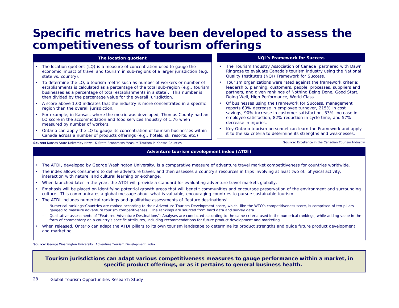### **Specific metrics have been developed to assess the competitiveness of tourism offerings**

#### **The location quotient**

- The location quotient (LQ) is a measure of concentration used to gauge the economic impact of travel and tourism in sub-regions of a larger jurisdiction (e.g., state vs. country).
- • To determine the LQ, a tourism metric such as number of workers or number of establishments is calculated as a percentage of the total sub-region (e.g., tourism businesses as a percentage of total establishments in a state). This number is then divided by the percentage value for the overall jurisdiction.
- • A score above 1.00 indicates that the industry is more concentrated in a specific region than the overall jurisdiction.
- For example, in Kansas, where the metric was developed, Thomas County had an LQ score in the accommodation and food services Industry of 1.76 when measured by number of workers.
- • Ontario can apply the LQ to gauge its concentration of tourism businesses within Canada across a number of products offerings (e.g., hotels, ski resorts, etc.)

**Source:** Kansas State University News: K-State Economists Measure Tourism in Kansas Counties

#### **Adventure tourism development index (ATDI)**

- •The ATDI, developed by George Washington University, is a comparative measure of adventure travel market competitiveness for countries worldwide.
- • The index allows consumers to define adventure travel, and then assesses a country's resources in trips involving at least two of: physical activity, interaction with nature, and cultural learning or exchange.
- •When launched later in the year, the ATDI will provide a standard for evaluating adventure travel markets globally.
- • Emphasis will be placed on identifying potential growth areas that will benefit communities and encourage preservation of the environment and surrounding culture. This communicates a global message about what is valuable, encouraging countries to pursue sustainable tourism.
- • The ATDI includes numerical rankings and qualitative assessments of 'feature destinations'.
	- *Numerical rankings*:Countries are ranked according to their Adventure Tourism Development score, which, like the WTO's competitiveness score, is comprised of ten pillars gauged to measure adventure tourism competitiveness. The rankings are sourced from hard data and survey data.
	- *Qualitative assessments of "Featured Adventure Destinations"*: Analyses are conducted according to the same criteria used in the numerical rankings, while adding value in the form of commentary on a country's specific attributes, including recommendations for future product development and marketing.
- • When released, Ontario can adapt the ATDI pillars to its own tourism landscape to determine its product strengths and guide future product development and marketing.

**Source:** George Washington University: Adventure Tourism Development Index

**Tourism jurisdictions can adapt various competitiveness measures to gauge performance within a market, in specific product offerings, or as it pertains to general business health.**

#### **NQI's Framework for Success**

- • The Tourism Industry Association of Canada partnered with Dawn Ringrose to evaluate Canada's tourism industry using the National Quality Institute's (NQI) Framework for Success.
- • Tourism organizations were rated against the framework criteria: leadership, planning, customers, people, processes, suppliers and partners, and given rankings of Nothing Being Done, Good Start, Doing Well, High Performance, World Class.
- • Of businesses using the Framework for Success, management reports 60% decrease in employee turnover, 215% in cost savings, 90% increase in customer satisfaction, 33% increase in employee satisfaction, 82% reduction in cycle time, and 57% decrease in injuries.
- • Key Ontario tourism personnel can learn the Framework and apply it to the six criteria to determine its strengths and weaknesses.

**Source:** Excellence in the Canadian Tourism Industry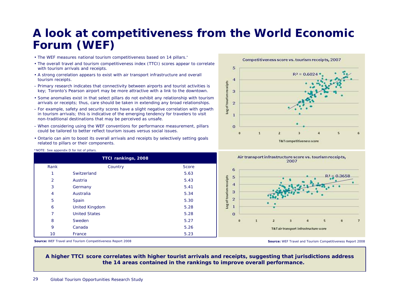# **A look at competitiveness from the World Economic Forum (WEF)**

- The WEF measures national tourism competitiveness based on 14 pillars.\*
- The overall travel and tourism competitiveness index (TTCI) scores appear to correlate with tourism arrivals and receipts.
- A strong correlation appears to exist with air transport infrastructure and overall tourism receipts.
- Primary research indicates that connectivity between airports and tourist activities is key; Toronto's Pearson airport may be more attractive with a link to the downtown.
- Some anomalies exist in that select pillars do not exhibit any relationship with tourism arrivals or receipts; thus, care should be taken in extending any broad relationships.
- For example, safety and security scores have a slight negative correlation with growth in tourism arrivals; this is indicative of the emerging tendency for travelers to visit non-traditional destinations that may be perceived as unsafe.
- When considering using the WEF conventions for performance measurement, pillars could be tailored to better reflect tourism issues versus social issues.
- Ontario can aim to boost its overall arrivals and receipts by selectively setting goals related to pillars or their components.







#### \*NOTE: See appendix D for list of pillars.

| TTCI rankings, 2008 |                       |              |  |  |  |  |
|---------------------|-----------------------|--------------|--|--|--|--|
| Rank                | Country               | <b>Score</b> |  |  |  |  |
| 1                   | Switzerland           | 5.63         |  |  |  |  |
| $\overline{2}$      | Austria               | 5.43         |  |  |  |  |
| 3                   | Germany               | 5.41         |  |  |  |  |
| 4                   | Australia             | 5.34         |  |  |  |  |
| 5                   | Spain                 | 5.30         |  |  |  |  |
| 6                   | <b>United Kingdom</b> | 5.28         |  |  |  |  |
| 7                   | <b>United States</b>  | 5.28         |  |  |  |  |
| 8                   | Sweden                | 5.27         |  |  |  |  |
| 9                   | Canada                | 5.26         |  |  |  |  |
| 10                  | France                | 5.23         |  |  |  |  |

**Source:** WEF Travel and Tourism Competitiveness Report 2008

**A higher TTCI score correlates with higher tourist arrivals and receipts, suggesting that jurisdictions address the 14 areas contained in the rankings to improve overall performance.**

**Source:** WEF Travel and Tourism Competitiveness Report 2008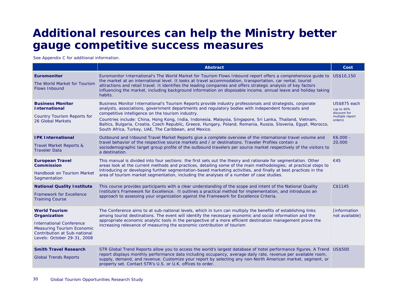### **Additional resources can help the Ministry better gauge competitive success measures**

See Appendix C for additional information.

|                                                                                                                                                                                    | <b>Abstract</b>                                                                                                                                                                                                                                                                                                                                                                                                                                                                                                                                                 | Cost                                                                            |
|------------------------------------------------------------------------------------------------------------------------------------------------------------------------------------|-----------------------------------------------------------------------------------------------------------------------------------------------------------------------------------------------------------------------------------------------------------------------------------------------------------------------------------------------------------------------------------------------------------------------------------------------------------------------------------------------------------------------------------------------------------------|---------------------------------------------------------------------------------|
| Euromonitor<br>The World Market for Tourism<br><b>Flows Inbound</b>                                                                                                                | Euromonitor International's The World Market for Tourism Flows Inbound report offers a comprehensive guide to US\$10,150<br>the market at an international level. It looks at travel accommodation, transportation, car rental, tourist<br>attractions and retail travel. It identifies the leading companies and offers strategic analysis of key factors<br>influencing the market, including background information on disposable income, annual leave and holiday taking<br>habits.                                                                         |                                                                                 |
| <b>Business Monitor</b><br><b>International</b><br><b>Country Tourism Reports for</b><br>26 Global Markets                                                                         | Business Monitor International's Tourism Reports provide industry professionals and strategists, corporate<br>analysts, associations, government departments and regulatory bodies with independent forecasts and<br>competitive intelligence on the tourism industry.<br>Countries include: China, Hong Kong, India, Indonesia, Malaysia, Singapore, Sri Lanka, Thailand, Vietnam,<br>Baltics, Bulgaria, Croatia, Czech Republic, Greece, Hungary, Poland, Romania, Russia, Slovenia, Egypt, Morocco,<br>South Africa, Turkey, UAE, The Caribbean, and Mexico. | <b>US\$875</b> each<br>(up to 40%<br>discount for<br>multiple report<br>orders) |
| <b>IPK International</b><br>Travel Market Reports &<br><b>Traveler Data</b>                                                                                                        | Outbound and Inbound Travel Market Reports give a complete overview of the international travel volume and<br>travel behavior of the respective source markets and / or destinations. Traveler Profiles contain a<br>sociodemographic target group profile of the outbound travelers per source market respectively of the visitors to<br>a destination.                                                                                                                                                                                                        | €6,000 -<br>20,000                                                              |
| <b>European Travel</b><br><b>Commission</b><br>Handbook on Tourism Market<br>Segmentation                                                                                          | This manual is divided into four sections: the first sets out the theory and rationale for segmentation. Other<br>areas look at the current methods and practices, detailing some of the main methodologies; at practical steps to<br>introducing or developing further segmentation-based marketing activities, and finally at best practices in the<br>area of tourism market segmentation, including the analyses of a number of case studies.                                                                                                               | €45                                                                             |
| <b>National Quality Institute</b><br><b>Framework for Excellence</b><br><b>Training Course</b>                                                                                     | This course provides participants with a clear understanding of the scope and intent of the National Quality<br>Institute's Framework for Excellence. It outlines a practical method for implementation, and introduces an<br>approach to assessing your organization against the Framework for Excellence Criteria.                                                                                                                                                                                                                                            | C\$1145                                                                         |
| <b>World Tourism</b><br>Organization<br><b>International Conference</b><br><b>Measuring Tourism Economic</b><br><b>Contribution at Sub-national</b><br>Levels: October 29-31, 2008 | The Conference aims to at sub-national levels, which in turn can multiply the benefits of establishing links<br>among tourist destinations. The event will identify the necessary economic and social information and the<br>appropriate economic analytic tools in the perspective of a more efficient destination management prove the<br>increasing relevance of measuring the economic contribution of tourism                                                                                                                                              | <b>Finformation</b><br>not available]                                           |
| <b>Smith Travel Research</b><br><b>Global Trends Reports</b>                                                                                                                       | STR Global Trend Reports allow you to access the world's largest database of hotel performance figures. A Trend US\$500<br>report displays monthly performance data including occupancy, average daily rate, revenue per available room,<br>supply, demand, and revenue. Customize your report by selecting any non-North American market, segment, or<br>property set. Contact STR's U.S. or U.K. offices to order.                                                                                                                                            |                                                                                 |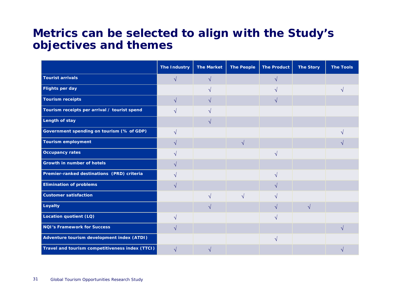### **Metrics can be selected to align with the Study's objectives and themes**

|                                                 | <b>The Industry</b> | <b>The Market</b> | <b>The People</b> | <b>The Product</b> | <b>The Story</b> | <b>The Tools</b> |
|-------------------------------------------------|---------------------|-------------------|-------------------|--------------------|------------------|------------------|
| <b>Tourist arrivals</b>                         | $\sqrt{}$           | $\mathcal{N}$     |                   | N                  |                  |                  |
| <b>Flights per day</b>                          |                     | ٦Ι                |                   |                    |                  |                  |
| <b>Tourism receipts</b>                         | $\sqrt{ }$          | $\mathcal{N}$     |                   | N                  |                  |                  |
| Tourism receipts per arrival / tourist spend    |                     |                   |                   |                    |                  |                  |
| <b>Length of stay</b>                           |                     | $\mathcal{N}$     |                   |                    |                  |                  |
| Government spending on tourism (% of GDP)       | $\sqrt{ }$          |                   |                   |                    |                  |                  |
| <b>Tourism employment</b>                       | N                   |                   | $\sqrt{ }$        |                    |                  |                  |
| <b>Occupancy rates</b>                          |                     |                   |                   | V                  |                  |                  |
| Growth in number of hotels                      | N                   |                   |                   |                    |                  |                  |
| Premier-ranked destinations (PRD) criteria      | ٦                   |                   |                   | V                  |                  |                  |
| <b>Elimination of problems</b>                  | $\sqrt{}$           |                   |                   | V                  |                  |                  |
| <b>Customer satisfaction</b>                    |                     | $\sqrt{ }$        | $\sqrt{ }$        | $\sqrt{ }$         |                  |                  |
| Loyalty                                         |                     | $\sqrt{ }$        |                   | $\sqrt{ }$         | $\sqrt{ }$       |                  |
| Location quotient (LQ)                          | ٦                   |                   |                   | N                  |                  |                  |
| <b>NQI's Framework for Success</b>              | $\sqrt{ }$          |                   |                   |                    |                  |                  |
| Adventure tourism development index (ATDI)      |                     |                   |                   | $\sqrt{ }$         |                  |                  |
| Travel and tourism competitiveness index (TTCI) |                     |                   |                   |                    |                  |                  |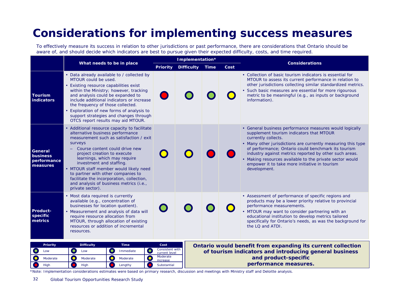# **Considerations for implementing success measures**

To effectively measure its success in relation to other jurisdictions or past performance, there are considerations that Ontario should be aware of, and should decide which indicators are best to pursue given their expected difficulty, costs, and time required.

|                                                              |                                                                                                                                                                                                                                                                                                                                                                                                                                                                          | Implementation*                          |                   |                                                                                |      | <b>Considerations</b>                                                                                                                                                                                                                                                                                                                                                                                                                    |  |  |  |  |
|--------------------------------------------------------------|--------------------------------------------------------------------------------------------------------------------------------------------------------------------------------------------------------------------------------------------------------------------------------------------------------------------------------------------------------------------------------------------------------------------------------------------------------------------------|------------------------------------------|-------------------|--------------------------------------------------------------------------------|------|------------------------------------------------------------------------------------------------------------------------------------------------------------------------------------------------------------------------------------------------------------------------------------------------------------------------------------------------------------------------------------------------------------------------------------------|--|--|--|--|
|                                                              | What needs to be in place                                                                                                                                                                                                                                                                                                                                                                                                                                                | <b>Priority</b>                          | <b>Difficulty</b> | Time                                                                           | Cost |                                                                                                                                                                                                                                                                                                                                                                                                                                          |  |  |  |  |
| <b>Tourism</b><br><b>indicators</b>                          | • Data already available to / collected by<br>MTOUR could be used.<br>• Existing resource capabilities exist<br>within the Ministry; however, tracking<br>and analysis could be expanded to<br>include additional indicators or increase<br>the frequency of those collected.<br>• Exploration of new forms of analysis to<br>support strategies and changes through<br>OTCS report results may aid MTOUR.                                                               |                                          |                   |                                                                                |      | • Collection of basic tourism indicators is essential for<br>MTOUR to assess its current performance in relation to<br>other jurisdictions collecting similar standardized metrics.<br>• Such basic measures are essential for more rigourous<br>metric to be meaningful (e.g., as inputs or background<br>information).                                                                                                                 |  |  |  |  |
| <b>General</b><br><b>business</b><br>performance<br>measures | • Additional resource capacity to facilitate<br>alternative business performance<br>measurement such as satisfaction / exit<br><b>SULVEAS</b><br>- Course content could drive new<br>project creation to execute<br>learnings, which may require<br>investment and staffing.<br>• MTOUR staff member would likely need<br>to partner with other companies to<br>facilitate the incorporation, collection,<br>and analysis of business metrics (i.e.,<br>private sector). |                                          |                   |                                                                                |      | • General business performance measures would logically<br>supplement tourism indicators that MTOUR<br>currently collects.<br>• Many other jurisdictions are currently measuring this type<br>of performance; Ontario could benchmark its tourism<br>industry against metrics reported by other such areas.<br>• Making resources available to the private sector would<br>empower it to take more initiative in tourism<br>development. |  |  |  |  |
| Product-<br>specific<br>metrics                              | • Most data required is currently<br>available (e.g., concentration of<br>businesses for location quotient).<br>• Measurement and analysis of data will<br>require resource allocation from<br>MTOUR, through allocation of existing<br>resources or addition of incremental<br>resources.                                                                                                                                                                               |                                          |                   |                                                                                |      | • Assessment of performance of specific regions and<br>products may be a lower priority relative to provincial<br>performance measurements.<br>• MTOUR may want to consider partnering with an<br>educational institution to develop metrics tailored<br>specifically for Ontario's needs, as was the background for<br>the LQ and ATDI.                                                                                                 |  |  |  |  |
| Priority<br>Low                                              | <b>Difficulty</b><br><b>Time</b><br>$\bullet$<br>$\bullet$<br>$\bullet$<br>Immediate<br>Low                                                                                                                                                                                                                                                                                                                                                                              | Cost<br>Consistent with<br>current level |                   |                                                                                |      | Ontario would benefit from expanding its current collection                                                                                                                                                                                                                                                                                                                                                                              |  |  |  |  |
| Moderate                                                     | $\bullet$<br>$\bullet$<br>$\bullet$<br>Moderate<br>Moderate                                                                                                                                                                                                                                                                                                                                                                                                              | Moderate<br>increase                     |                   | of tourism indicators and introducing general business<br>and product-specific |      |                                                                                                                                                                                                                                                                                                                                                                                                                                          |  |  |  |  |

**performance measures.**

\*Note: Implementation considerations estimates were based on primary research, discussion and meetings with Ministry staff and Deloitte analysis.

High  $\begin{array}{|c|c|c|c|c|}\hline \textbf{0} & \text{High} & \text{Lengthy} & \text{Substantial} \\\hline \end{array}$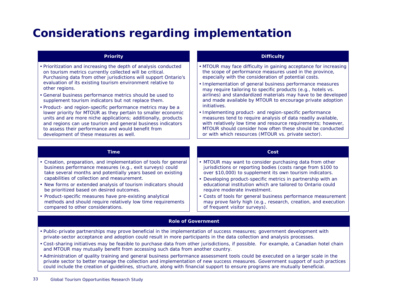# **Considerations regarding implementation**

| <b>Priority</b>                                                                                                                                                                                                                                                                              | <b>Difficulty</b>                                                                                                                                                                                                                                                                                           |
|----------------------------------------------------------------------------------------------------------------------------------------------------------------------------------------------------------------------------------------------------------------------------------------------|-------------------------------------------------------------------------------------------------------------------------------------------------------------------------------------------------------------------------------------------------------------------------------------------------------------|
| • Prioritization and increasing the depth of analysis conducted<br>on tourism metrics currently collected will be critical.<br>Purchasing data from other jurisdictions will support Ontario's                                                                                               | • MTOUR may face difficulty in gaining acceptance for increasing<br>the scope of performance measures used in the province,<br>especially with the consideration of potential costs.                                                                                                                        |
| evaluation of its existing tourism environment relative to<br>other regions.                                                                                                                                                                                                                 | • Implementation of general business performance measures<br>may require tailoring to specific products (e.g., hotels vs.                                                                                                                                                                                   |
| • General business performance metrics should be used to<br>supplement tourism indicators but not replace them.                                                                                                                                                                              | airlines) and standardized materials may have to be developed<br>and made available by MTOUR to encourage private adoption                                                                                                                                                                                  |
| • Product- and region-specific performance metrics may be a                                                                                                                                                                                                                                  | initiatives.                                                                                                                                                                                                                                                                                                |
| lower priority for MTOUR as they pertain to smaller economic<br>units and are more niche applications; additionally, products<br>and regions can use tourism and general business indicators<br>to assess their performance and would benefit from<br>development of these measures as well. | • Implementing product- and region-specific performance<br>measures tend to require analysis of data readily available,<br>with relatively low time and resource requirements; however,<br>MTOUR should consider how often these should be conducted<br>or with which resources (MTOUR vs. private sector). |

#### **Time**

- Creation, preparation, and implementation of tools for general business performance measures (e.g., exit surveys) could take several months and potentially years based on existing capabilities of collection and measurement.
- New forms or extended analysis of tourism indicators should be prioritized based on desired outcomes.
- Product-specific measures have pre-existing analytical methods and should require relatively low time requirements compared to other considerations.

#### **Cost**

- MTOUR may want to consider purchasing data from other jurisdictions or reporting bodies (costs range from \$100 to over \$10,000) to supplement its own tourism indicators.
- Developing product-specific metrics in partnership with an educational institution which are tailored to Ontario could require moderate investment.
- Costs of tools for general business performance measurement may prove fairly high (e.g., research, creation, and execution of frequent visitor surveys).

#### **Role of Government**

- Public-private partnerships may prove beneficial in the implementation of success measures; government development with private-sector acceptance and adoption could result in more participants in the data collection and analysis processes.
- Cost-sharing initiatives may be feasible to purchase data from other jurisdictions, if possible. For example, a Canadian hotel chain and MTOUR may mutually benefit from accessing such data from another country.
- Administration of quality training and general business performance assessment tools could be executed on a larger scale in the private sector to better manage the collection and implementation of new success measures. Government support of such practices could include the creation of guidelines, structure, along with financial support to ensure programs are mutually beneficial.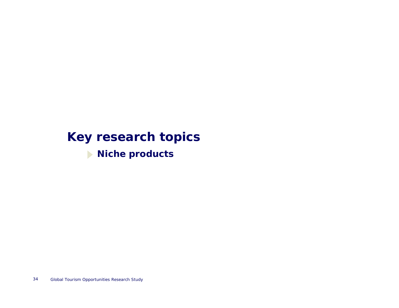# **Key research topics**

**Niche products**  $\blacktriangleright$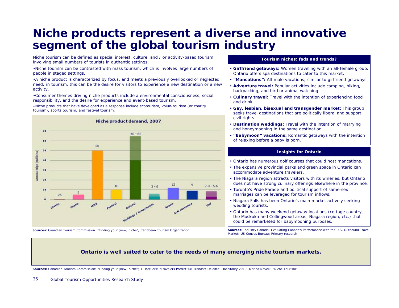# **Niche products represent a diverse and innovative segment of the global tourism industry**

Niche tourism can be defined as special interest, culture, and / or activity-based tourism involving small numbers of tourists in authentic settings.

•Niche tourism can be contrasted with mass tourism, which is involves large numbers of people in staged settings.

•A niche product is characterized by focus, and meets a previously overlooked or neglected need; in tourism, this can be the desire for visitors to experience a new destination or a new activity.

•Consumer themes driving niche products include a environmental consciousness, social responsibility, and the desire for experience and event-based tourism.

–Niche products that have developed as a response include ecotourism, volun-tourism (or charity tourism), sports tourism, and festival tourism.



**Sources:** Canadian Tourism Commission: "Finding your (new) niche"; Caribbean Tourism Organization

#### **Tourism niches: fads and trends?**

- • **Girlfriend getaways:** Women traveling with an all-female group. Ontario offers spa destinations to cater to this market.
- •**"Mancations":** All-male vacations; similar to girlfriend getaways.
- • **Adventure travel:** Popular activities include camping, hiking, backpacking, and bird or animal watching.
- **Culinary travel:** Travel with the intention of experiencing food and drink.
- • **Gay, lesbian, bisexual and transgender market:** This group seeks travel destinations that are politically liberal and support civil rights.
- • **Destination weddings:** Travel with the intention of marrying and honeymooning in the same destination.
- • **"Babymoon" vacations:** Romantic getaways with the intention of relaxing before a baby is born.

#### **Insights for Ontario**

- Ontario has numerous golf courses that could host mancations.
- The expansive provincial parks and green space in Ontario can accommodate adventure travelers.
- The Niagara region attracts visitors with its wineries, but Ontario does not have strong culinary offerings elsewhere in the province.
- Toronto's Pride Parade and political support of same-sex marriages can be leveraged for tourism inflows.
- Niagara Falls has been Ontario's main market actively seeking wedding tourists.
- Ontario has many weekend getaway locations (cottage country, the Muskoka and Collingwood areas, Niagara region, etc.) that could be remarketed for babymooning purposes.

**Sources:** Industry Canada: Evaluating Canada's Performance with the U.S. Outbound Travel Market; US Census Bureau; Primary research

#### **Ontario is well suited to cater to the needs of many emerging niche tourism markets.**

**Sources:** Canadian Tourism Commission: "Finding your (new) niche"; 4 Hoteliers: "Travelers Predict '08 Trends"; Deloitte: Hospitality 2010; Marina Novelli: "Niche Tourism"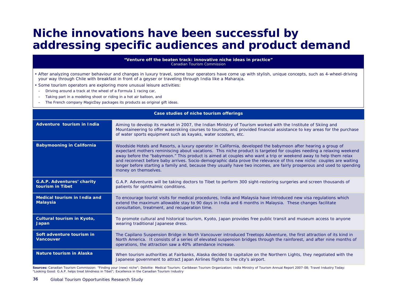# **Niche innovations have been successful by addressing specific audiences and product demand**

**"Venture off the beaten track: innovative niche ideas in practice"** *Canadian Tourism Commission*

- After analyzing consumer behaviour and changes in luxury travel, some tour operators have come up with stylish, unique concepts, such as 4-wheel-driving your way through Chile with breakfast in front of a geyser or traveling through India like a Maharaja.
- Some tourism operators are exploring more unusual leisure activities:
- –Driving around a track at the wheel of a Formula 1 racing car,
- –Taking part in a modeling shoot or riding in a hot air balloon, and
- –The French company MagicDay packages its products as original gift ideas.

| Case studies of niche tourism offerings         |                                                                                                                                                                                                                                                                                                                                                                                                                                                                                                                                                                                                                                    |  |  |
|-------------------------------------------------|------------------------------------------------------------------------------------------------------------------------------------------------------------------------------------------------------------------------------------------------------------------------------------------------------------------------------------------------------------------------------------------------------------------------------------------------------------------------------------------------------------------------------------------------------------------------------------------------------------------------------------|--|--|
| Adventure tourism in India                      | Aiming to develop its market in 2007, the Indian Ministry of Tourism worked with the Institute of Skiing and<br>Mountaineering to offer waterskiing courses to tourists, and provided financial assistance to key areas for the purchase<br>of water sports equipment such as kayaks, water scooters, etc.                                                                                                                                                                                                                                                                                                                         |  |  |
| <b>Babymooning in California</b>                | Woodside Hotels and Resorts, a luxury operator in California, developed the babymoon after hearing a group of<br>expectant mothers reminiscing about vacations. This niche product is targeted for couples needing a relaxing weekend<br>away before the "babymoon." This product is aimed at couples who want a trip or weekend away to help them relax<br>and reconnect before baby arrives. Socio-demographic data prove the relevance of this new niche: couples are waiting<br>longer before starting a family and, because they usually have two incomes, are fairly prosperous and used to spending<br>money on themselves. |  |  |
| G.A.P. Adventures' charity<br>tourism in Tibet  | G.A.P. Adventures will be taking doctors to Tibet to perform 300 sight-restoring surgeries and screen thousands of<br>patients for ophthalmic conditions.                                                                                                                                                                                                                                                                                                                                                                                                                                                                          |  |  |
| Medical tourism in India and<br><b>Malaysia</b> | To encourage tourist visits for medical procedures, India and Malaysia have introduced new visa regulations which<br>extend the maximum allowable stay to 90 days in India and 6 months in Malaysia. These changes facilitate<br>consultation, treatment, and recuperation time.                                                                                                                                                                                                                                                                                                                                                   |  |  |
| Cultural tourism in Kyoto,<br>Japan             | To promote cultural and historical tourism, Kyoto, Japan provides free public transit and museum access to anyone<br>wearing traditional Japanese dress.                                                                                                                                                                                                                                                                                                                                                                                                                                                                           |  |  |
| Soft adventure tourism in<br><b>Vancouver</b>   | The Capilano Suspension Bridge in North Vancouver introduced Treetops Adventure, the first attraction of its kind in<br>North America. It consists of a series of elevated suspension bridges through the rainforest, and after nine months of<br>operations, the attraction saw a 40% attendance increase.                                                                                                                                                                                                                                                                                                                        |  |  |
| Nature tourism in Alaska                        | When tourism authorities at Fairbanks, Alaska decided to capitalize on the Northern Lights, they negotiated with the<br>Japanese government to attract Japan Airlines flights to the city's airport.                                                                                                                                                                                                                                                                                                                                                                                                                               |  |  |

Sources: Canadian Tourism Commission: "Finding your (new) niche"; Deloitte: Medical Tourism; Caribbean Tourism Organization; India Ministry of Tourism Annual Report 2007-08; Travel Industry Today: "Looking Good: G.A.P. helps treat blindness in Tibet"; Excellence in the Canadian Tourism Industry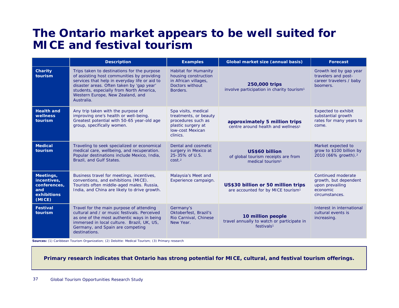### **The Ontario market appears to be well suited for MICE and festival tourism**

|                                                                          | <b>Description</b>                                                                                                                                                                                                                                                                    | <b>Examples</b>                                                                                                                 | Global market size (annual basis)                                                         | <b>Forecast</b>                                                                              |
|--------------------------------------------------------------------------|---------------------------------------------------------------------------------------------------------------------------------------------------------------------------------------------------------------------------------------------------------------------------------------|---------------------------------------------------------------------------------------------------------------------------------|-------------------------------------------------------------------------------------------|----------------------------------------------------------------------------------------------|
| Charity<br>tourism                                                       | Trips taken to destinations for the purpose<br>of assisting host communities by providing<br>services that help in everyday life or aid to<br>disaster areas. Often taken by 'gap year'<br>students, especially from North America,<br>Western Europe, New Zealand, and<br>Australia. | <b>Habitat for Humanity</b><br>housing construction<br>in African villages,<br>Doctors without<br>Borders.                      | 250,000 trips<br>involve participation in charity tourism <sup>1</sup>                    | Growth led by gap year<br>travelers and post-<br>career travelers / baby<br>boomers.         |
| <b>Health and</b><br>wellness<br>tourism                                 | Any trip taken with the purpose of<br>improving one's health or well-being.<br>Greatest potential with 50-65 year-old age<br>group, specifically women.                                                                                                                               | Spa visits, medical<br>treatments, or beauty<br>procedures such as<br>plastic surgery at<br><b>Iow-cost Mexican</b><br>clinics. | approximately 5 million trips<br>centre around health and wellness <sup>1</sup>           | <b>Expected to exhibit</b><br>substantial growth<br>rates for many years to<br>come.         |
| <b>Medical</b><br>tourism                                                | Traveling to seek specialized or economical<br>medical care, wellbeing, and recuperation.<br>Popular destinations include Mexico, India,<br>Brazil, and Gulf States.                                                                                                                  | Dental and cosmetic<br>surgery in Mexico at<br>25-35% of U.S.<br>cost <sub>2</sub>                                              | US\$60 billion<br>of global tourism receipts are from<br>medical tourism <sup>1</sup>     | Market expected to<br>grow to \$100 billion by<br>2010 (66% growth). <sup>2</sup>            |
| Meetings,<br>incentives,<br>conferences,<br>and<br>exhibitions<br>(MICE) | Business travel for meetings, incentives,<br>conventions, and exhibitions (MICE).<br>Tourists often middle-aged males. Russia,<br>India, and China are likely to drive growth.                                                                                                        | Malaysia's Meet and<br>Experience campaign.                                                                                     | US\$30 billion or 50 million trips<br>are accounted for by MICE tourism <sup>1</sup>      | Continued moderate<br>growth, but dependent<br>upon prevailing<br>economic<br>circumstances. |
| <b>Festival</b><br>tourism                                               | Travel for the main purpose of attending<br>cultural and / or music festivals. Perceived<br>as one of the most authentic ways in being<br>immersed in local culture. Brazil, UK, US,<br>Germany, and Spain are competing<br>destinations.                                             | Germany's<br>Oktoberfest, Brazil's<br>Rio Carnival, Chinese<br>New Year.                                                        | 10 million people<br>travel annually to watch or participate in<br>festivals <sup>1</sup> | Interest in international<br>cultural events is<br>increasing.                               |

**Sources:** (1) Caribbean Tourism Organization; (2) Deloitte: Medical Tourism; (3) Primary research

**Primary research indicates that Ontario has strong potential for MICE, cultural, and festival tourism offerings.**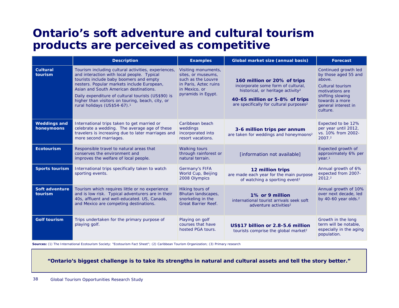### **Ontario's soft adventure and cultural tourism products are perceived as competitive**

|                                   | <b>Description</b>                                                                                                                                                                                                                                                                                                                                                                         | <b>Examples</b>                                                                                                                 | Global market size (annual basis)                                                                                                                                                                           | <b>Forecast</b>                                                                                                                                                               |
|-----------------------------------|--------------------------------------------------------------------------------------------------------------------------------------------------------------------------------------------------------------------------------------------------------------------------------------------------------------------------------------------------------------------------------------------|---------------------------------------------------------------------------------------------------------------------------------|-------------------------------------------------------------------------------------------------------------------------------------------------------------------------------------------------------------|-------------------------------------------------------------------------------------------------------------------------------------------------------------------------------|
| <b>Cultural</b><br>tourism        | Tourism including cultural activities, experiences,<br>and interaction with local people. Typical<br>tourists include baby boomers and empty<br>nesters. Popular markets include European,<br>Asian and South American destinations.<br>Daily expenditure of cultural tourists (US\$90) is<br>higher than visitors on touring, beach, city, or<br>rural holidays (US\$54-67). <sup>1</sup> | Visiting monuments,<br>sites, or museums,<br>such as the Louvre<br>in Paris, Aztec ruins<br>in Mexico, or<br>pyramids in Eqypt. | 160 million or 20% of trips<br>incorporate some form of cultural,<br>historical, or heritage activity <sup>2</sup><br>40-65 million or 5-8% of trips<br>are specifically for cultural purposes <sup>2</sup> | Continued growth led<br>by those aged 55 and<br>above.<br><b>Cultural tourism</b><br>motivations are<br>shifting slowing<br>towards a more<br>general interest in<br>culture. |
| <b>Weddings and</b><br>honeymoons | International trips taken to get married or<br>celebrate a wedding. The average age of these<br>travelers is increasing due to later marriages and<br>more second marriages.                                                                                                                                                                                                               | Caribbean beach<br>weddings<br>incorporated into<br>resort vacations.                                                           | 3-6 million trips per annum<br>are taken for weddings and honeymoons <sup>2</sup>                                                                                                                           | Expected to be 12%<br>per year until 2012,<br>vs. 10% from 2002-<br>2007.2                                                                                                    |
| Ecotourism                        | Responsible travel to natural areas that<br>conserves the environment and<br>improves the welfare of local people.                                                                                                                                                                                                                                                                         | <b>Walking tours</b><br>through rainforest or<br>natural terrain.                                                               | [information not available]                                                                                                                                                                                 | Expected growth of<br>approximately 6% per<br>year <sup>1</sup>                                                                                                               |
| <b>Sports tourism</b>             | International trips specifically taken to watch<br>sporting events.                                                                                                                                                                                                                                                                                                                        | Germany's FIFA<br>World Cup, Beijing<br>2008 Olympics                                                                           | 12 million trips<br>are made each year for the main purpose<br>of watching a sporting event <sup>2</sup>                                                                                                    | Annual growth of 6%<br>expected from 2007-<br>2012.2                                                                                                                          |
| Soft adventure<br>tourism         | Tourism which requires little or no experience<br>and is low risk. Typical adventurers are in their<br>40s, affluent and well-educated. US, Canada,<br>and Mexico are competing destinations.                                                                                                                                                                                              | Hiking tours of<br>Bhutan landscapes,<br>snorkeling in the<br><b>Great Barrier Reef.</b>                                        | 1% or 9 million<br>international tourist arrivals seek soft<br>adventure activities <sup>2</sup>                                                                                                            | Annual growth of 10%<br>over next decade, led<br>by $40-60$ year olds. $2$                                                                                                    |
| <b>Golf tourism</b>               | Trips undertaken for the primary purpose of<br>playing golf.                                                                                                                                                                                                                                                                                                                               | Playing on golf<br>courses that have<br>hosted PGA tours.                                                                       | US\$17 billion or 2.8-5.6 million<br>tourists comprise the global market <sup>2</sup>                                                                                                                       | Growth in the long<br>term will be notable,<br>especially in the aging<br>population.                                                                                         |

**Sources:** (1) The International Ecotourism Society: "Ecotourism Fact Sheet"; (2) Caribbean Tourism Organization; (3) Primary research

**"Ontario's biggest challenge is to take its strengths in natural and cultural assets and tell the story better."**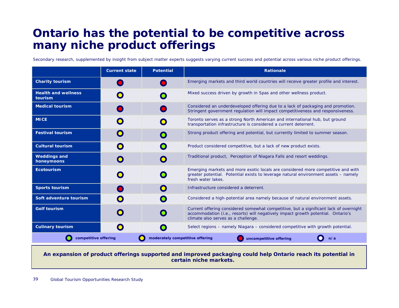### **Ontario has the potential to be competitive across many niche product offerings**

Secondary research, supplemented by insight from subject matter experts suggests varying current success and potential across various niche product offerings.

|                                                                                          | <b>Current state</b> | <b>Potential</b> | <b>Rationale</b>                                                                                                                                                                                                 |
|------------------------------------------------------------------------------------------|----------------------|------------------|------------------------------------------------------------------------------------------------------------------------------------------------------------------------------------------------------------------|
| <b>Charity tourism</b>                                                                   |                      |                  | Emerging markets and third world countries will receive greater profile and interest.                                                                                                                            |
| <b>Health and wellness</b><br>tourism                                                    |                      | $\bullet$        | Mixed success driven by growth in Spas and other wellness product.                                                                                                                                               |
| <b>Medical tourism</b>                                                                   |                      |                  | Considered an underdeveloped offering due to a lack of packaging and promotion.<br>Stringent government regulation will impact competitiveness and responsiveness.                                               |
| <b>MICE</b>                                                                              |                      |                  | Toronto serves as a strong North American and international hub, but ground<br>transportation infrastructure is considered a current deterrent.                                                                  |
| <b>Festival tourism</b>                                                                  | $\bigcirc$           |                  | Strong product offering and potential, but currently limited to summer season.                                                                                                                                   |
| <b>Cultural tourism</b>                                                                  | $\bigcap$            | $\bigcap$        | Product considered competitive, but a lack of new product exists.                                                                                                                                                |
| <b>Weddings and</b><br>honeymoons                                                        | $\bigcap$            | $\bullet$        | Traditional product, Perception of Niagara Falls and resort weddings.                                                                                                                                            |
| <b>Ecotourism</b>                                                                        | $\mathbf O$          | $\bigcirc$       | Emerging markets and more exotic locals are considered more competitive and with<br>greater potential. Potential exists to leverage natural environment assets – namely<br>fresh water lakes.                    |
| <b>Sports tourism</b>                                                                    |                      |                  | Infrastructure considered a deterrent.                                                                                                                                                                           |
| Soft adventure tourism                                                                   |                      | $\bullet$        | Considered a high-potential area namely because of natural environment assets.                                                                                                                                   |
| <b>Golf tourism</b>                                                                      |                      | $\bullet$        | Current offering considered somewhat competitive, but a significant lack of overnight<br>accommodation (i.e., resorts) will negatively impact growth potential. Ontario's<br>climate also serves as a challenge. |
| <b>Culinary tourism</b>                                                                  |                      |                  | Select regions – namely Niagara – considered competitive with growth potential.                                                                                                                                  |
| competitive offering<br>moderately competitive offering<br>uncompetitive offering<br>n/a |                      |                  |                                                                                                                                                                                                                  |

**An expansion of product offerings supported and improved packaging could help Ontario reach its potential in certain niche markets.**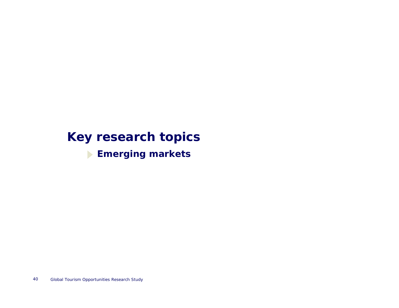# **Key research topics**

**Emerging markets**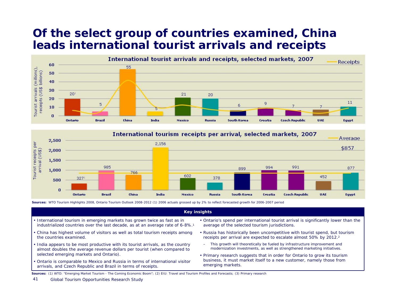# **Of the select group of countries examined, China leads international tourist arrivals and receipts**





**Sources:** WTO Tourism Highlights 2008, Ontario Tourism Outlook 2008-2012 (1) 2006 actuals grossed up by 2% to reflect forecasted growth for 2006-2007 period

#### **Key insights**

- International tourism in emerging markets has grown twice as fast as in industrialized countries over the last decade, as at an average rate of 6-8%.1
- China has highest volume of visitors as well as total tourism receipts among the countries examined.
- India appears to be most productive with its tourist arrivals, as the country almost doubles the average revenue dollars per tourist (when compared to selected emerging markets and Ontario).
- Ontario is comparable to Mexico and Russia in terms of international visitor arrivals, and Czech Republic and Brazil in terms of receipts.
- Ontario's spend per international tourist arrival is significantly lower than the average of the selected tourism jurisdictions.
- Russia has historically been uncompetitive with tourist spend, but tourism receipts per arrival are expected to escalate almost 50% by 2012.2
	- – This growth will theoretically be fueled by infrastructure improvement and modernization investments, as well as strengthened marketing initiatives.
- Primary research suggests that in order for Ontario to grow its tourism business, it must market itself to a new customer, namely those from emerging markets.

**Sources:** (1) WTO: "Emerging Market Tourism - The Coming Economic Boom"; (2) EIU: Travel and Tourism Profiles and Forecasts; (3) Primary research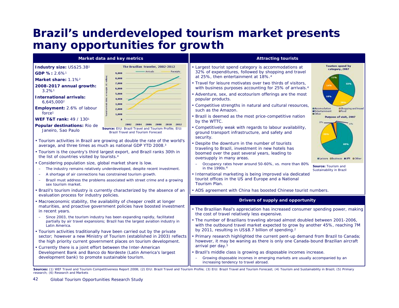# **Brazil's underdeveloped tourism market presents many opportunities for growth**

|                                                                                          | Market data and key metrics                                                                                                                                                                                                | <b>Attracting tourists</b>                                                                                                                                                                                                          |                                                                                                                |
|------------------------------------------------------------------------------------------|----------------------------------------------------------------------------------------------------------------------------------------------------------------------------------------------------------------------------|-------------------------------------------------------------------------------------------------------------------------------------------------------------------------------------------------------------------------------------|----------------------------------------------------------------------------------------------------------------|
| Industry size: US\$25.3B1<br>GDP %: 2.6% <sup>1</sup><br>Market share: 1.1% <sup>2</sup> | The Brazilian traveler, 2002-2012<br>Arrivals<br>Receipts<br>9,000<br>8,000                                                                                                                                                | • Largest tourist spend category is accommodations at<br>32% of expenditures, followed by shopping and travel<br>at 25%, then entertainment at 18%. <sup>4</sup>                                                                    | Tourism spend by<br>category, 2007                                                                             |
| 2008-2017 annual growth:<br>$3.2\%$ <sup>1</sup>                                         | 7,000<br>6,000<br>5,000                                                                                                                                                                                                    | Travel for leisure motivates over two thirds of visitors,<br>with business purposes accounting for 25% of arrivals. <sup>4</sup><br>• Adventure, sex, and ecotourism offerings are the most                                         | 32%                                                                                                            |
| <b>International arrivals:</b><br>6,645,0002                                             | 4,000<br>3,000                                                                                                                                                                                                             | popular products.                                                                                                                                                                                                                   | 18%                                                                                                            |
| <b>Employment:</b> 2.6% of labour<br>force <sup>1</sup>                                  | 2,000<br>1,000                                                                                                                                                                                                             | • Competitive strengths in natural and cultural resources,<br>such as the Amazon.                                                                                                                                                   | <b>BAccomodation</b><br><b>OShopping and travel</b><br><b>BEntertainment</b><br><b>afood</b><br><b>n</b> Cther |
| <b>WEF T&amp;T rank: 49 / 1301</b>                                                       | 2012                                                                                                                                                                                                                       | Brazil is deemed as the most price-competitive nation<br>by the WTTC.                                                                                                                                                               | <b>Purpose of visit, 2007</b>                                                                                  |
| Popular destinations: Rio de<br>Janeiro, Sao Paulo                                       | Source: EIU: Brazil Travel and Tourism Profile: EIU:<br><b>Brazil Travel and Tourism Forecast</b>                                                                                                                          | • Competitively weak with regards to labour availability,<br>ground transport infrastructure, and safety and<br>security.                                                                                                           |                                                                                                                |
| average, and three times as much as national GDP YTD 2008.3                              | • Tourism activities in Brazil are growing at double the rate of the world's                                                                                                                                               | • Despite the downturn in the number of tourists<br>traveling to Brazil, investment in new hotels has                                                                                                                               | 899                                                                                                            |
| the list of countries visited by tourists. <sup>4</sup>                                  | • Tourism is the country's third largest export, and Brazil ranks 30th in                                                                                                                                                  | boomed over the past several years, leading to<br>oversupply in many areas.                                                                                                                                                         | Blaisure Obusiness BVFR                                                                                        |
| • Considering population size, global market share is low.                               | The industry remains relatively underdeveloped, despite recent investment.                                                                                                                                                 | Occupancy rates hover around 50-60%, vs. more than 80%<br>in the 1990s. <sup>4</sup>                                                                                                                                                | Source: Tourism and<br>Sustainability in Brazil                                                                |
| A shortage of air connections has constrained tourism growth.<br>sex tourism market.     | Brazil must address the problems associated with street crime and a growing                                                                                                                                                | • International marketing is being improved via dedicated<br>tourist offices in the US and Europe and a National<br>Tourism Plan.                                                                                                   |                                                                                                                |
| evaluation process for industry policies.                                                | Brazil's tourism industry is currently characterized by the absence of an                                                                                                                                                  | • ADS agreement with China has boosted Chinese tourist numbers.                                                                                                                                                                     |                                                                                                                |
|                                                                                          | • Macroeconomic stability, the availability of cheaper credit at longer                                                                                                                                                    | Drivers of supply and opportunity                                                                                                                                                                                                   |                                                                                                                |
| in recent years.                                                                         | maturities, and proactive government policies have boosted investment                                                                                                                                                      | • The Brazilian Real's appreciation has increased consumer spending power, making<br>the cost of travel relatively less expensive.                                                                                                  |                                                                                                                |
| Latin America.                                                                           | Since 2003, the tourism industry has been expanding rapidly, facilitated<br>partially by air travel expansions; Brazil has the largest aviation industry in                                                                | . The number of Brazilians traveling abroad almost doubled between 2001-2006,<br>with the outbound travel market expected to grow by another 45%, reaching 7M                                                                       |                                                                                                                |
|                                                                                          | • Tourism activities traditionally have been carried out by the private<br>sector; however a new Ministry of Tourism (established in 2003) reflects<br>the high priority current government places on tourism development. | by 2011, resulting in US\$8.7 billion of spending. <sup>2</sup><br>Primary research highlighted the current pent-up demand from Brazil to Canada;<br>however, it may be waning as there is only one Canada-bound Brazilian aircraft |                                                                                                                |
| • Currently there is a joint effort between the Inter-American                           |                                                                                                                                                                                                                            | arrival per day. <sup>5</sup>                                                                                                                                                                                                       |                                                                                                                |
| development bank) to promote sustainable tourism.                                        | Development Bank and Banco do Nordeste (Latin America's largest                                                                                                                                                            | · Brazil's middle class is growing as disposable incomes increase.<br>Growing disposable incomes in emerging markets are usually accompanied by an<br>increasing tendency to travel abroad.                                         |                                                                                                                |
| research; (6) Research and Markets                                                       |                                                                                                                                                                                                                            | Sources: (1) WEF Travel and Tourism Competitiveness Report 2008; (2) EIU: Brazil Travel and Tourism Profile; (3) EIU: Brazil Travel and Tourism Forecast; (4) Tourism and Sustainability in Brazil; (5) Primary                     |                                                                                                                |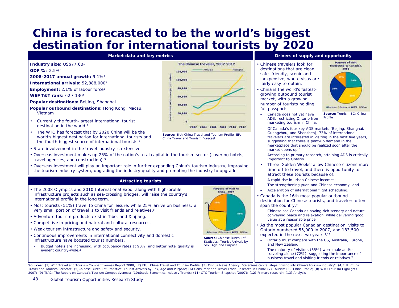# **China is forecasted to be the world's biggest destination for international tourists by 2020**



**GDP %:** 2.5%1

43

**2008-2017 annual growth:** 9.1%1

**International arrivals:** 52,888,0002

**Employment:** 2.1% of labour force1

**WEF T&T rank:** 62 / 1301

- **Popular destinations:** Beijing, Shanghai
- **Popular outbound destinations:** Hong Kong, Macau, Vietnam
- • Currently the fourth-largest international tourist destination in the world<sup>2</sup>
- • The WTO has forecast that by 2020 China will be the world's biggest destination for international tourists and the fourth biggest source of international tourists.2
- State involvement in the travel industry is extensive.
- Overseas investment makes up 25% of the nation's total capital in the tourism sector (covering hotels, travel agencies, and construction).3
- Overseas investment will play an important role in further expanding China's tourism industry, improving the tourism industry system, upgrading the industry quality and promoting the industry to upgrade.

#### **Attracting tourists**

- The 2008 Olympics and 2010 International Expo, along with high-profile infrastructure projects such as sea-crossing bridges, will raise the country's international profile in the long term.
- Most tourists (51%) travel to China for leisure, while 25% arrive on business; a very small portion of travel is to visit friends and relatives.5
- Adventure tourism products exist in Tibet and Xinjiang.
- Competitive in pricing and natural and cultural resources.
- Weak tourism infrastructure and safety and security.
- Continuous improvements in international connectivity and domestic infrastructure have boosted tourist numbers.
- $\equiv$  Budget hotels are increasing, with occupancy rates at 90%, and better hotel quality is evident country-wide.2



**Source:** EIU: China Travel and Tourism Profile; EIU: China Travel and Tourism Forecast

#### **Market data and key metrics <b>Drivers** of supply and opportunity **Drivers** of supply and opportunity

- Chinese travelers look for destinations that are clean, safe, friendly, scenic and inexpensive, where visas are fairly easy to obtain.
- • China is the world's fastestgrowing outbound tourist market, with a growing number of tourists holding full passports.



 $\equiv$  Canada does not yet have ADS, restricting Ontario from marketing tourism in China.

- – Of Canada's four key ADS markets (Beijing, Shanghai, Guangzhou, and Shenzhen), 73% of international travelers are interested in visiting in the next five years, suggesting that there is pent-up demand in the marketplace that should be realized soon after the market opens up. 6
- – According to primary research, attaining ADS is critically important to Ontario.
- • Three 'Golden Weeks' allow Chinese citizens more time off to travel, and there is opportunity to attract these tourists because of:
- A rapid rise in urban Chinese incomes;
- –The strengthening yuan and Chinese economy; and
- Acceleration of international flight scheduling.
- Canada is the 16th most popular outbound destination for Chinese tourists, and travelers often span the country.<sup>7</sup>
- Chinese see Canada as having rich scenery and nature, conveying peace and relaxation, while delivering good value at a reasonable price.
- As the most popular Canadian destination, visits to Ontario numbered 55,000 in 2007, and 183,500 expected in the next two years.<sup>7,13</sup>
	- Ontario must compete with the US, Australia, Europe, and New Zealand.
- – The majority of visitors (65%) were male and/or traveling alone (72%), suggesting the importance of business travel and visiting friends or relatives.7

Sources: (1) WEF Travel and Tourism Competitiveness Report 2008; (2) EIU: China Travel and Tourism Profile; (3) Xinhua News Agency: "Overseas capital steps flowing into China's tourism industry"; (4)EIU: China Travel and Tourism Forecast; (5)Chinese Bureau of Statistics: Tourist Arrivals by Sex, Age and Purpose; (6) Consumer and Travel Trade Research in China; (7) Tourism BC: China Profile; (8) WTO Tourism Highlights 2007; (9) TIAC: The Report on Canada's Tourism Competitiveness; (10)Scotia Economics Industry Trends; (11) CTC Tourism Snapshot (2007); (12) Primary research; (13) Analysis



**Source:** Chinese Bureau of

Statistics: Tourist Arrivals by Sex, Age and Purpose

Blaisure Obusiness WVR DOther **Source:** Tourism BC: China Profile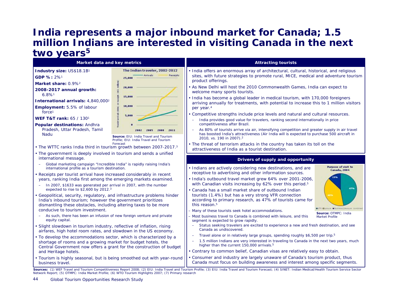### **India represents a major inbound market for Canada; 1.5 million Indians are interested in visiting Canada in the next**  two years<sup>5</sup>

| Market data and key metrics                                                                                                                                                                                                                                                                                                                                                                                                                                                                                                                                                                                                                                                      |                                                                                             | <b>Attracting tourists</b>                                                                                                                                                                                                                                                                                                                                                                                                                                                                                                                                                                                                                                                                                                                                                                                          |
|----------------------------------------------------------------------------------------------------------------------------------------------------------------------------------------------------------------------------------------------------------------------------------------------------------------------------------------------------------------------------------------------------------------------------------------------------------------------------------------------------------------------------------------------------------------------------------------------------------------------------------------------------------------------------------|---------------------------------------------------------------------------------------------|---------------------------------------------------------------------------------------------------------------------------------------------------------------------------------------------------------------------------------------------------------------------------------------------------------------------------------------------------------------------------------------------------------------------------------------------------------------------------------------------------------------------------------------------------------------------------------------------------------------------------------------------------------------------------------------------------------------------------------------------------------------------------------------------------------------------|
| Industry size: US\$18.1B1<br>GDP %: 2%1<br>Market share: 0.9% <sup>2</sup>                                                                                                                                                                                                                                                                                                                                                                                                                                                                                                                                                                                                       | The Indian traveler, 2002-2012<br>Arrivals<br>Receipts<br>25,000<br>20,000                  | . India offers an enormous array of architectural, cultural, historical, and religious<br>sites, with future strategies to promote rural, MICE, medical and adventure tourism<br>product offerings.<br>• As New Delhi will host the 2010 Commonwealth Games, India can expect to                                                                                                                                                                                                                                                                                                                                                                                                                                                                                                                                    |
| 2008-2017 annual growth:<br>$6.8\%$ <sup>1</sup><br>International arrivals: 4,840,000 <sup>2</sup><br>Employment: 5.5% of labour<br>force <sup>1</sup><br><b>WEF T&amp;T rank: 65 / 1301</b><br><b>Popular destinations: Andhra</b><br>Pradesh, Uttar Pradesh, Tamil                                                                                                                                                                                                                                                                                                                                                                                                             | 15,000<br>10,000<br>5,000<br>2011<br>2008                                                   | welcome many sports tourists.<br>· India has become a global leader in medical tourism, with 170,000 foreigners<br>arriving annually for treatments, with potential to increase this to 1 million visitors<br>per year. <sup>4</sup><br>• Competitive strengths include price levels and natural and cultural resources.<br>India provides good value for travelers, ranking second internationally in price<br>competitiveness after Brazil.<br>As 80% of tourists arrive via air, intensifying competition and greater supply in air travel<br>has boosted India's attractiveness (Air India will is expected to purchase 500 aircraft in                                                                                                                                                                         |
| Nadu<br>• The WTTC ranks India third in tourism growth between 2007-2017.3<br>• The government is deeply involved in tourism and sends a unified<br>international message.                                                                                                                                                                                                                                                                                                                                                                                                                                                                                                       | Source: EIU: India Travel and Tourism<br>Profile; EIU: India Travel and Tourism<br>Forecast | 2010, vs. 190 in 2007). <sup>2</sup><br>. The threat of terrorism attacks in the country has taken its toll on the<br>attractiveness of India as a tourist destination.<br>Drivers of supply and opportunity                                                                                                                                                                                                                                                                                                                                                                                                                                                                                                                                                                                                        |
| Global marketing campaign "Incredible India" is rapidly raising India's<br>international profile as a tourism destination.<br>• Receipts per tourist arrival have increased considerably in recent<br>years, ranking India first among the emerging markets examined.<br>In 2007, \$1633 was generated per arrival in 2007, with the number<br>$\overline{\phantom{0}}$<br>expected to rise to $$2,600$ by 2012. <sup>3</sup><br>• Geopolitical, security, regulatory, and infrastructure problems hinder<br>India's inbound tourism; however the government prioritizes<br>dismantling these obstacles, including altering taxes to be more<br>conducive to tourism investment. |                                                                                             | <b>Purpose of visit to</b><br>• Indians are actively considering new destinations, and are<br>Canada, 2004<br>receptive to advertising and other information sources.<br>· India's outbound travel market grew 64% over 2001-2006,<br>with Canadian visits increasing by 62% over this period. <sup>5</sup><br>47%<br>• Canada has a small market share of outbound Indian<br>tourists (1.4%) but has a very strong VFR connection<br>according to primary research, as 47% of tourists came for<br>this reason. <sup>5</sup><br>FR CLAIMA CASTING/WASHING CONTINUE<br>Many of these tourists seek hotel accommodations.                                                                                                                                                                                            |
| As such, there has been an infusion of new foreign venture and private<br>equity capital.<br>· Slight slowdown in tourism industry, reflective of inflation, rising<br>airfares, high hotel room rates, and slowdown in the US economy.<br>. To develop the accommodations sector, which is characterized by a<br>shortage of rooms and a growing market for budget hotels, the<br>Central Government now offers a grant for the construction of budget<br>and Heritage hotels.<br>• Tourism is highly seasonal, but is being smoothed out with year-round<br>business travel.                                                                                                   |                                                                                             | Source: OTMPC: India<br>Most business travel to Canada is combined with leisure, and this<br><b>Market Profile</b><br>segment is expected to grow rapidly.<br>Status seeking travelers are excited to experience a new and fresh destination, and see<br>Canada as undiscovered.<br>Travel alone or in relatively large groups, spending roughly \$6,500 per trip. <sup>5</sup><br>1.5 million Indians are very interested in traveling to Canada in the next two years, much<br>$\overline{\phantom{m}}$<br>higher than the current 150,000 arrivals. <sup>5</sup><br>• Contrary to common belief, Canadian visas are relatively easy to obtain.<br>• Consumer and industry are largely unaware of Canada's tourism product, thus<br>Canada must focus on building awareness and interest among specific segments. |

Sources: (1) WEF Travel and Tourism Competitiveness Report 2008; (2) EIU: India Travel and Tourism Profile; (3) EIU: India Travel and Tourism Forecast; (4) SINET: Indian Medical/Health Tourism Service Sector Network Report; (5) OTMPC: India Market Profile; (6) WTO Tourism Highlights 2007; (7) Primary research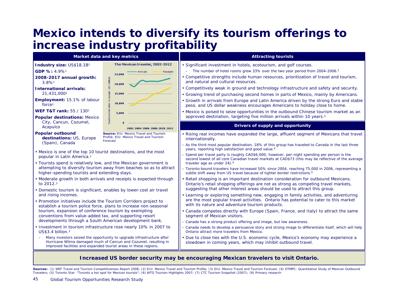# **Mexico intends to diversify its tourism offerings to increase industry profitability**

|                                                                                                                                                              | Market data and key metrics                                                                                                               | <b>Attracting tourists</b>                                                                                                                                                                                                                                                                                                                                                                                                                 |
|--------------------------------------------------------------------------------------------------------------------------------------------------------------|-------------------------------------------------------------------------------------------------------------------------------------------|--------------------------------------------------------------------------------------------------------------------------------------------------------------------------------------------------------------------------------------------------------------------------------------------------------------------------------------------------------------------------------------------------------------------------------------------|
| Industry size: US\$18.1B1<br>GDP %: 4.9%1<br>2008-2017 annual growth:<br>3.8%1                                                                               | The Mexican traveler, 2002-2012<br>Receipts<br>breio als<br>25,000<br>20,000                                                              | • Significant investment in hotels, ecotourism, and golf courses.<br>The number of hotel rooms grew 33% over the two year period from 2004-2006. <sup>2</sup><br>• Competitive strengths include human resources, prioritization of travel and tourism,<br>and natural and cultural resources.                                                                                                                                             |
| <b>International arrivals:</b><br>21,431,0002                                                                                                                | 15,000                                                                                                                                    | • Competitively weak in ground and technology infrastructure and safety and security.<br>• Growing trend of purchasing second homes in parts of Mexico, mainly by Americans.                                                                                                                                                                                                                                                               |
| Employment: 15.1% of labour<br>force <sup>1</sup>                                                                                                            | 10,000                                                                                                                                    | Growth in arrivals from Europe and Latin America driven by the strong Euro and stable<br>peso, and US dollar weakness encourages Americans to holiday close to home.                                                                                                                                                                                                                                                                       |
| <b>WEF T&amp;T rank: 55 / 1301</b><br><b>Popular destinations: Mexico</b>                                                                                    | 5,000                                                                                                                                     | • Mexico is poised to seize opportunities in the outbound Chinese tourism market as an<br>approved destination, targeting five million arrivals within 10 years. <sup>3</sup>                                                                                                                                                                                                                                                              |
| City, Cancun, Cozumel,<br>Acapulco                                                                                                                           | 2002 2004 2006 2008 2010 2012                                                                                                             | Drivers of supply and opportunity                                                                                                                                                                                                                                                                                                                                                                                                          |
| <b>Popular outbound</b><br>destinations: US, Europe<br>(Spain), Canada<br>• Mexico is one of the top 10 tourist destinations, and the most                   | Source: EIU: Mexico Travel and Tourism<br>Profile: EIU: Mexico Travel and Tourism<br>Forecast                                             | • Rising real incomes have expanded the large, affluent segment of Mexicans that travel<br>internationally.<br>- As the third most popular destination, 18% of this group has traveled to Canada in the last three<br>years, reporting high satisfaction and good value. <sup>4</sup>                                                                                                                                                      |
| popular in Latin America. <sup>2</sup><br>• Tourists spend is relatively low, and the Mexican government is<br>higher-spending tourists and extending stays. | attempting to diversify tourism away from beaches so as to attract                                                                        | Spend per travel party is roughly CAD\$6,000; however, per-night spending per person is the<br>second lowest of all core Canadian travel markets at CAD\$73 (this may be reflective of the average<br>traveler age as under 24). <sup>4</sup><br>- Toronto-bound travelers have increased 50% since 2004, reaching 75,000 in 2006, representing a<br>subtle shift away from US travel because of tighter border restrictions. <sup>5</sup> |
| to $2012.3$<br>• Domestic tourism is significant, enables by lower-cost air travel                                                                           | • Moderate growth in both arrivals and receipts is expected through                                                                       | • Retail shopping is an important destination consideration for outbound Mexicans;<br>Ontario's retail shopping offerings are not as strong as competing travel markets,<br>suggesting that other interest areas should be used to attract this group.                                                                                                                                                                                     |
| and rising incomes.<br>• Promotion initiatives include the Tourism Corridors project to<br>tourism, expansion of conference tourism by exempting             | establish a tourism police force, plans to increase non-seasonal                                                                          | • Learning or exploring something new, engaging in family activities, and adventuring<br>are the most popular travel activities. Ontario has potential to cater to this market<br>with its nature and adventure tourism products.<br>• Canada competes directly with Europe (Spain, France, and Italy) to attract the same                                                                                                                 |
| conventions from value-added tax, and supporting resort<br>developments through a South American development bank.                                           |                                                                                                                                           | segment of Mexican visitors.<br>Canada has a strong product offering and image, but low awareness.                                                                                                                                                                                                                                                                                                                                         |
| $US$3.4$ billion. <sup>3</sup>                                                                                                                               | . Investment in tourism infrastructure rose nearly 10% in 2007 to                                                                         | Canada needs to develop a persuasive story and strong image to differentiate itself, which will help<br>Ontario attract more travelers from Mexico.                                                                                                                                                                                                                                                                                        |
| improved facilities and expanded tourist areas in these regions.                                                                                             | Many investors seized the opportunity to upgrade infrastructure after<br>Hurricane Wilma damaged much of Cancun and Cozumel, resulting in | • Due to close ties with the U.S. economic cycle, Mexico's economy may experience a<br>slowdown in coming years, which may inhibit outbound travel.                                                                                                                                                                                                                                                                                        |

#### **Increased US border security may be encouraging Mexican travelers to visit Ontario.**

Sources: (1) WEF Travel and Tourism Competitiveness Report 2008; (2) EIU: Mexico Travel and Tourism Profile; (3) EIU: Mexico Travel and Tourism Forecast; (4) OTMPC: Quantitative Study of Mexican Outbound Travelers; (5) Toronto Star: "Toronto a hot spot for Mexican tourists"; (6) WTO Tourism Highlights 2007; (7) CTC Tourism Snapshot (2007); (8) Primary research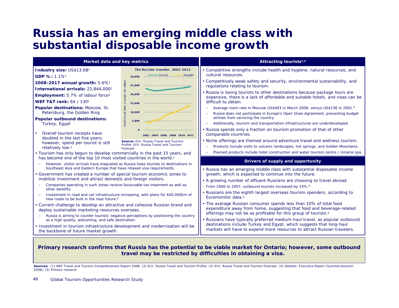### **Russia has an emerging middle class with substantial disposable income growth**



#### **Primary research confirms that Russia has the potential to be viable market for Ontario; however, some outbound travel may be restricted by difficulties in obtaining a visa.**

Sources: (1) WEF Travel and Tourism Competitiveness Report 2008; (2) EIU: Russia Travel and Tourism Profile; (3) EIU: Russia Travel and Tourism Forecast; (4) Deloitte: Executive Report (Summer/Autumn 2008), (5) Primary research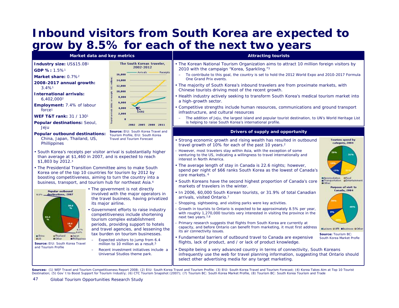# **Inbound visitors from South Korea are expected to grow by 8.5% for each of the next two years**

| Market data and key metrics                                                                                                                                                                                                                                                                                                                                                                                                                                                                                                                                                                                                                                                                                                                     |                                                                                                                                                                                                                                                                                                                                                                                                                                                                                                                                                                                                                                                                         | <b>Attracting tourists</b>                                                                                                                                                                                                                                                                                                                                                                                                                                                                                                                                                                                                                                                                                                                                                                                                                                                                                                                                                                                                                                                                                                                                                                                                                                                                                                                                                                                                                                                                                                                                                                                      |                                                                                                                                                                                                                                                                     |
|-------------------------------------------------------------------------------------------------------------------------------------------------------------------------------------------------------------------------------------------------------------------------------------------------------------------------------------------------------------------------------------------------------------------------------------------------------------------------------------------------------------------------------------------------------------------------------------------------------------------------------------------------------------------------------------------------------------------------------------------------|-------------------------------------------------------------------------------------------------------------------------------------------------------------------------------------------------------------------------------------------------------------------------------------------------------------------------------------------------------------------------------------------------------------------------------------------------------------------------------------------------------------------------------------------------------------------------------------------------------------------------------------------------------------------------|-----------------------------------------------------------------------------------------------------------------------------------------------------------------------------------------------------------------------------------------------------------------------------------------------------------------------------------------------------------------------------------------------------------------------------------------------------------------------------------------------------------------------------------------------------------------------------------------------------------------------------------------------------------------------------------------------------------------------------------------------------------------------------------------------------------------------------------------------------------------------------------------------------------------------------------------------------------------------------------------------------------------------------------------------------------------------------------------------------------------------------------------------------------------------------------------------------------------------------------------------------------------------------------------------------------------------------------------------------------------------------------------------------------------------------------------------------------------------------------------------------------------------------------------------------------------------------------------------------------------|---------------------------------------------------------------------------------------------------------------------------------------------------------------------------------------------------------------------------------------------------------------------|
| Industry size: US\$15.0B1<br>GDP %: 1.5%1<br>Market share: 0.7% <sup>2</sup><br>2008-2017 annual growth:<br>$3.4\%$ <sup>1</sup><br><b>International arrivals:</b><br>6,402,000 <sup>2</sup><br>Employment: 7.4% of labour<br>force <sup>1</sup><br><b>WEF T&amp;T rank: 31 / 1301</b><br>Popular destinations: Seoul,<br>Jeju                                                                                                                                                                                                                                                                                                                                                                                                                  | The South Korean traveler,<br>2002-2012<br><b>Arrivals</b><br>Receipts<br>16,000<br>14,000<br>12,000<br>10,000<br>8,000<br>6,000<br>4,000<br>SARS<br>2,000<br>2002 2005 2008 2011                                                                                                                                                                                                                                                                                                                                                                                                                                                                                       | • The Korean National Tourism Organization aims to attract 10 million foreign visitors by<br>2010 with the campaign "Korea, Sparkling."3<br>To contribute to this goal, the country is set to hold the 2012 World Expo and 2010-2017 Formula<br>One Grand Prix events.<br>• The majority of South Korea's inbound travelers are from proximate markets, with<br>Chinese tourists driving most of the recent growth.<br>Health industry actively seeking to transform South Korea's medical tourism market into<br>a high-growth sector.<br>Competitive strengths include human resources, communications and ground transport<br>infrastructure, and cultural resources<br>The addition of Jeju, the largest island and popular tourist destination, to UN's World Heritage List<br>is helping to raise South Korea's international profile.                                                                                                                                                                                                                                                                                                                                                                                                                                                                                                                                                                                                                                                                                                                                                                    |                                                                                                                                                                                                                                                                     |
| <b>Popular outbound destinations:</b><br>China, Japan, Thailand, US,<br>Phillippines<br>• South Korea's receipts per visitor arrival is substantially higher<br>than average at \$1,460 in 2007, and is expected to reach<br>\$1,803 by 2012.3<br>• The Presidential Transition Committee aims to make South<br>Korea one of the top 10 countries for tourism by 2012 by<br>boosting competitiveness, aiming to turn the country into a<br>business, transport, and tourism hub for northeast Asia. <sup>4</sup><br><b>Popular outbound</b><br>0.5% _destinations, 2007<br>28.0<br>52.2<br>18.0<br>mThailand<br><b>a</b> China<br>mileo an<br><b>E</b> Phillippine:<br><b>BC</b> ther<br>Source: EIU: South Korea Travel<br>and Tourism Profile | Source: EIU: South Korea Travel and<br>Tourism Profile, EIU: South Korea<br><b>Travel and Tourism Forecast</b><br>• The government is not directly<br>involved with the major operators in<br>the travel business, having privatized<br>its major airline.<br>• Government efforts to raise industry<br>competitiveness include shortening<br>tourism complex establishment<br>periods, providing support to hotels<br>and travel agencies, and lessening the<br>tax burden on tourism businesses.<br>Expected visitors to jump from 6.4<br>million to 10 million as a result. <sup>5</sup><br>Recent investment initiatives include a<br>Universal Studios theme park. | Drivers of supply and opportunity<br>Strong economic growth and rising wealth has resulted in outbound<br>travel growth of 10% for each of the past 10 years. <sup>2</sup><br>However, most travelers stay within Asia, with the exception of some<br>venturing to the US, indicating a willingness to travel internationally and<br>interest in North America.<br>• The average length of stay in Canada is 22.6 nights; however,<br>spend per night of \$66 ranks South Korea as the lowest of Canada's<br>core markets. <sup>6</sup><br>• South Koreans have the second highest proportion of Canada's core<br>markets of travelers in the winter.<br>. In 2006, 60,000 South Korean tourists, or 31.9% of total Canadian<br>arrivals, visited Ontario.7<br>Shopping, sightseeing, and visiting parks were key activities.<br>Growth in tourists to Ontario is expected to be approximately 8.5% per year,<br>with roughly 1,270,000 tourists very interested in visiting the province in the<br>next two years. <sup>7,8</sup><br>Primary research suggests that flights from South Korea are currently at<br>capacity, and before Ontario can benefit from marketing, it must first address<br>its air connectivity issues.<br>Fundamental barriers of outbound travel to Canada are expensive<br>flights, lack of product, and / or lack of product knowledge.<br>• Despite being a very advanced country in terms of connectivity, South Koreans<br>infrequently use the web for travel planning information, suggesting that Ontario should<br>select other advertising media for any target marketing. | <b>Tourism spend by</b><br>category, 2004<br>31%<br>BAccomodation Ofood<br>Transportation aEntertainment<br><b>m</b> Other<br><b>Purpose of visit to</b><br><b>Canada, 2004</b><br>Bleisure DVR Bosiness DOther<br>Source: Tourism BC:<br>South Korea Market Profle |
|                                                                                                                                                                                                                                                                                                                                                                                                                                                                                                                                                                                                                                                                                                                                                 |                                                                                                                                                                                                                                                                                                                                                                                                                                                                                                                                                                                                                                                                         | Sources: (1) WEF Travel and Tourism Competitiveness Report 2008; (2) EIU: South Korea Travel and Tourism Profile; (3) EIU: South Korea Travel and Tourism Forecast; (4) Korea Takes Aim at Top 10 Tourist<br>Destination; (5) Gov`t to Boost Support for Tourism Industry; (6) CTC Tourism Snapshot (2007); (7) Tourism BC: South Korea Market Profile, (8) Tourism BC: South Korea Tourism and Trade                                                                                                                                                                                                                                                                                                                                                                                                                                                                                                                                                                                                                                                                                                                                                                                                                                                                                                                                                                                                                                                                                                                                                                                                           |                                                                                                                                                                                                                                                                     |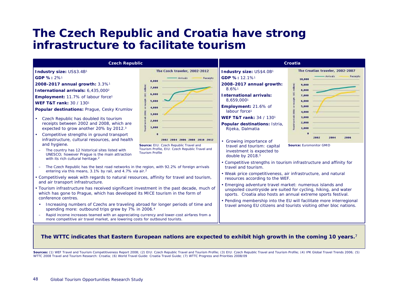### **The Czech Republic and Croatia have strong infrastructure to facilitate tourism**



#### **The WTTC indicates that Eastern European nations are expected to exhibit high growth in the coming 10 years.** 7

Sources: (1) WEF Travel and Tourism Competitiveness Report 2008; (2) EIU: Czech Republic Travel and Tourism Profile; (3) EIU: Czech Republic Travel and Tourism Profile; (4) IPK Global Travel Trends 2006; (5) WTTC 2008 Travel and Tourism Research: Croatia; (6) World Travel Guide: Croatia Travel Guide; (7) WTTC Progress and Priorities 2008/09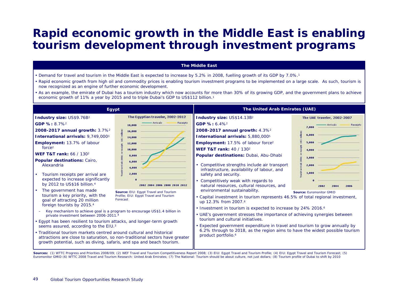# **Rapid economic growth in the Middle East is enabling tourism development through investment programs**

#### **The Middle East**

- Demand for travel and tourism in the Middle East is expected to increase by 5.2% in 2008, fuelling growth of its GDP by 7.0%.1
- Rapid economic growth from high oil and commodity prices is enabling tourism investment programs to be implemented on a large scale. As such, tourism is now recognized as an engine of further economic development.
- As an example, the emirate of Dubai has a tourism industry which now accounts for more than 30% of its growing GDP, and the government plans to achieve economic growth of 11% a year by 2015 and to triple Dubai's GDP to US\$112 billion.1

Sources: (1) WTTC Progress and Priorities 2008/09; (2) WEF Travel and Tourism Competitiveness Report 2008; (3) EIU: Egypt Travel and Tourism Profile; (4) EIU: Egypt Travel and Tourism Prorecast; (5) Euromonitor GMID (6) WTTC 2008 Travel and Tourism Research: United Arab Emirates; (7) The National: Tourism should be about culture, not just dollars; (8) Tourism profile of Dubai to shift by 2010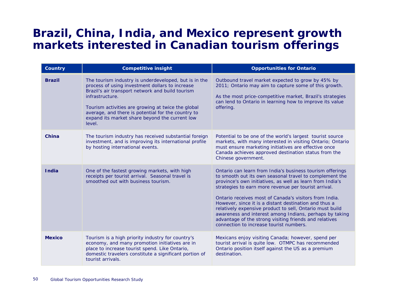### **Brazil, China, India, and Mexico represent growth markets interested in Canadian tourism offerings**

| <b>Country</b> | <b>Competitive insight</b>                                                                                                                                                                                                                                                                                                                              | <b>Opportunities for Ontario</b>                                                                                                                                                                                                                                                                                                                                                                                                                                                                                                                                                         |
|----------------|---------------------------------------------------------------------------------------------------------------------------------------------------------------------------------------------------------------------------------------------------------------------------------------------------------------------------------------------------------|------------------------------------------------------------------------------------------------------------------------------------------------------------------------------------------------------------------------------------------------------------------------------------------------------------------------------------------------------------------------------------------------------------------------------------------------------------------------------------------------------------------------------------------------------------------------------------------|
| <b>Brazil</b>  | The tourism industry is underdeveloped, but is in the<br>process of using investment dollars to increase<br>Brazil's air transport network and build tourism<br>infrastructure.<br>Tourism activities are growing at twice the global<br>average, and there is potential for the country to<br>expand its market share beyond the current low<br>level. | Outbound travel market expected to grow by 45% by<br>2011; Ontario may aim to capture some of this growth.<br>As the most price-competitive market, Brazil's strategies<br>can lend to Ontario in learning how to improve its value<br>offering.                                                                                                                                                                                                                                                                                                                                         |
| China          | The tourism industry has received substantial foreign<br>investment, and is improving its international profile<br>by hosting international events.                                                                                                                                                                                                     | Potential to be one of the world's largest tourist source<br>markets, with many interested in visiting Ontario; Ontario<br>must ensure marketing initiatives are effective once<br>Canada achieves approved destination status from the<br>Chinese government.                                                                                                                                                                                                                                                                                                                           |
| <b>India</b>   | One of the fastest growing markets, with high<br>receipts per tourist arrival. Seasonal travel is<br>smoothed out with business tourism.                                                                                                                                                                                                                | Ontario can learn from India's business tourism offerings<br>to smooth out its own seasonal travel to complement the<br>province's own initiatives, as well as learn from India's<br>strategies to earn more revenue per tourist arrival.<br>Ontario receives most of Canada's visitors from India.<br>However, since it is a distant destination and thus a<br>relatively expensive product to sell, Ontario must build<br>awareness and interest among Indians, perhaps by taking<br>advantage of the strong visiting friends and relatives<br>connection to increase tourist numbers. |
| <b>Mexico</b>  | Tourism is a high priority industry for country's<br>economy, and many promotion initiatives are in<br>place to increase tourist spend. Like Ontario,<br>domestic travelers constitute a significant portion of<br>tourist arrivals.                                                                                                                    | Mexicans enjoy visiting Canada; however, spend per<br>tourist arrival is quite low. OTMPC has recommended<br>Ontario position itself against the US as a premium<br>destination.                                                                                                                                                                                                                                                                                                                                                                                                         |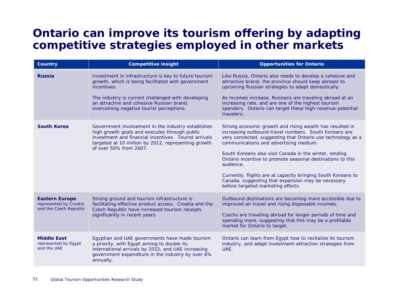# **Ontario can improve its tourism offering by adapting competitive strategies employed in other markets**

| <b>Country</b>                                                            | <b>Competitive insight</b>                                                                                                                                                                                                                    | <b>Opportunities for Ontario</b>                                                                                                                                                                                                                                                                                                                                                                                                                                                                                            |
|---------------------------------------------------------------------------|-----------------------------------------------------------------------------------------------------------------------------------------------------------------------------------------------------------------------------------------------|-----------------------------------------------------------------------------------------------------------------------------------------------------------------------------------------------------------------------------------------------------------------------------------------------------------------------------------------------------------------------------------------------------------------------------------------------------------------------------------------------------------------------------|
| <b>Russia</b>                                                             | Investment in infrastructure is key to future tourism<br>growth, which is being facilitated with government<br>incentives.<br>The industry is current challenged with developing<br>an attractive and cohesive Russian brand,                 | Like Russia, Ontario also needs to develop a cohesive and<br>attractive brand; the province should keep abreast to<br>upcoming Russian strategies to adapt domestically.<br>As incomes increase, Russians are traveling abroad at an<br>increasing rate, and are one of the highest tourism                                                                                                                                                                                                                                 |
|                                                                           | overcoming negative tourist perceptions.                                                                                                                                                                                                      | spenders. Ontario can target these high-revenue-potential<br>travelers;.                                                                                                                                                                                                                                                                                                                                                                                                                                                    |
| <b>South Korea</b>                                                        | Government involvement in the industry establishes<br>high growth goals and executes through public<br>investment and financial incentives. Tourist arrivals<br>targeted at 10 million by 2012, representing growth<br>of over 50% from 2007. | Strong economic growth and rising wealth has resulted in<br>increasing outbound travel numbers. South Koreans are<br>very connected, suggesting that Ontario use technology as a<br>communications and advertising medium.<br>South Koreans also visit Canada in the winter, lending<br>Ontario incentive to promote seasonal destinations to this<br>audience.<br>Currently, flights are at capacity bringing South Koreans to<br>Canada, suggesting that expansion may be necessary<br>before targeted marketing efforts. |
| <b>Eastern Europe</b><br>represented by Croatia<br>and the Czech Republic | Strong ground and tourism infrastructure is<br>facilitating effective product access. Croatia and the<br>Czech Republic have increased tourism receipts<br>significantly in recent years.                                                     | Outbound destinations are becoming more accessible due to<br>improved air travel and rising disposable incomes.<br>Czechs are traveling abroad for longer periods of time and<br>spending more, suggesting that this may be a profitable<br>market for Ontario to target.                                                                                                                                                                                                                                                   |
| <b>Middle East</b><br>represented by Egypt<br>and the UAE                 | Egyptian and UAE governments have made tourism<br>a priority, with Egypt aiming to double its<br>international arrivals by 2015, and UAE increasing<br>government expenditure in the industry by over 6%<br>annually.                         | Ontario can learn from Egypt how to revitalize its tourism<br>industry, and adapt investment-attraction strategies from<br>UAE.                                                                                                                                                                                                                                                                                                                                                                                             |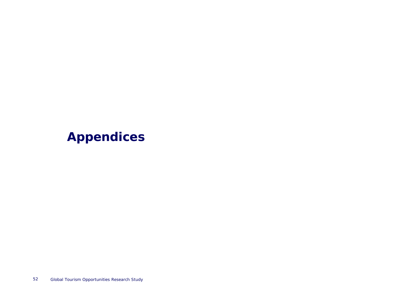# **Appendices**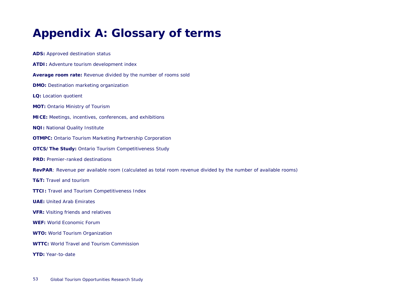# **Appendix A: Glossary of terms**

**ADS:** Approved destination status **ATDI:** Adventure tourism development index **Average room rate:** Revenue divided by the number of rooms sold **DMO:** Destination marketing organization **LQ:** Location quotient **MOT:** Ontario Ministry of Tourism **MICE:** Meetings, incentives, conferences, and exhibitions **NQI:** National Quality Institute **OTMPC:** Ontario Tourism Marketing Partnership Corporation **OTCS/The Study:** Ontario Tourism Competitiveness Study **PRD:** Premier-ranked destinations **RevPAR**: Revenue per available room (calculated as total room revenue divided by the number of available rooms) **T&T:** Travel and tourism**TTCI:** Travel and Tourism Competitiveness Index **UAE:** United Arab Emirates**VFR:** Visiting friends and relatives **WEF:** World Economic Forum**WTO:** World Tourism Organization **WTTC:** World Travel and Tourism Commission**YTD:** Year-to-date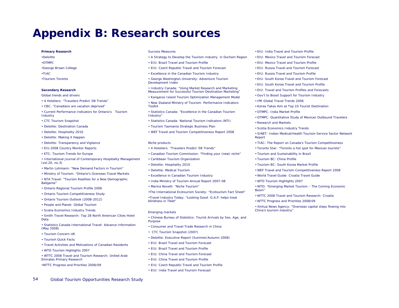### **Appendix B: Research sources**

#### **Primary Research**

- •Deloitte
- •OTMPC
- •George Brown College
- •TIAC
- •Tourism Toronto

#### **Secondary Research**

*Global trends and drivers*

- 4 Hoteliers: *"*Travelers Predict '08 Trends"
- CBC: "Canadians are vacation deprived"
- Current Performance Indicators for Ontario's Tourism Industry
- CTC Tourism Snapshot
- Deloitte: Destination Canada
- Deloitte: Hospitality 2010
- Deloitte: Making it Happen
- Deloitte: Transparency and Vigilance
- EIU 2008 Country Monitor Reports
- ETC: Tourism Trends for Europe
- International Journal of Contemporary Hospitality Management (vol.20, no.3)
- Martin Lohmann: "New Demand Factors in Tourism"
- Ministry of Tourism: "Ontario's Overseas Travel Markets
- NTA Travel: "Tourism Realities for a New Demographic Ballgame"
- Ontario Regional Tourism Profile 2006
- Ontario Tourism Competitiveness Study
- Ontario Tourism Outlook (2008-2012)
- People and Planet: Global Tourism
- Scotia Economics Industry Trends

• Smith Travel Research: Top 28 North American Cities Hotel Data

• Statistics Canada International Travel: Advance Information (May 2008)

- Tourism Concern UK
- Tourism Quick Facts
- Travel Activities and Motivations of Canadian Residents
- WTO Tourism Highlights 2007
- WTTC 2008 Travel and Tourism Research: United Arab Emirates Primary Research
- •WTTC Progress and Priorities 2008/09

#### *Success Measures*

- A Strategy to Develop the Tourism Industry in Durham Region
- EIU: Brazil Travel and Tourism Profile
- EIU: Czech Republic Travel and Tourism Forecast
- Excellence in the Canadian Tourism Industry
- George Washington University: Adventure Tourism Development Index
- Industry Canada: "Using Market Research and Marketing Measurement for Successful Tourism Destination Marketing"
- Kangaroo Island Tourism Optimization Management Model
- New Zealand Ministry of Tourism: Performance Indicators Toolkit
- Statistics Canada: "Excellence in the Canadian Tourism Industry"
- Statistics Canada: National Tourism Indicators (NTI)
- Tourism Tasmania Strategic Business Plan
- WEF Travel and Tourism Competitiveness Report 2008

#### *Niche products*

- 4 Hoteliers: *"*Travelers Predict '08 Trends"
- Canadian Tourism Commission: "Finding your (new) niche"
- Caribbean Tourism Organization
- Deloitte: Hospitality 2010
- Deloitte: Medical Tourism
- Excellence in Canadian Tourism Industry
- India Ministry of Tourism Annual Report 2007-08
- Marina Novelli: "Niche Tourism"
- •The International Ecotourism Society: "Ecotourism Fact Sheet"

•Travel Industry Today: "Looking Good: G.A.P. helps treat blindness in Tibet"

#### *Emerging markets*

- Chinese Bureau of Statistics: Tourist Arrivals by Sex, Age, and Purpose
- Consumer and Travel Trade Research in China
- CTC Tourism Snapshot (2007)
- Deloitte: Executive Report (Summer/Autumn 2008)
- EIU: Brazil Travel and Tourism Forecast
- EIU: Brazil Travel and Tourism Profile
- EIU: China Travel and Tourism Forecast
- EIU: China Travel and Tourism Profile
- EIU: Czech Republic Travel and Tourism Profile
- EIU: India Travel and Tourism Forecast
- EIU: India Travel and Tourism Profile
- EIU: Mexico Travel and Tourism Forecast
- EIU: Mexico Travel and Tourism Profile
- EIU: Russia Travel and Tourism Forecast
- EIU: Russia Travel and Tourism Profile
- EIU: South Korea Travel and Tourism Forecast
- EIU: South Korea Travel and Tourism Profile
- EIU: Travel and Tourism Profiles and Forecasts
- Gov't to Boost Support for Tourism Industry
- IPK Global Travel Trends 2006
- Korea Takes Aim at Top 10 Tourist Destination
- OTMPC: India Market Profile
- OTMPC: Quantitative Study of Mexican Outbound Travelers
- Research and Markets
- Scotia Economics Industry Trends
- SINET: Indian Medical/Health Tourism Service Sector Network Report
- TIAC: The Report on Canada's Tourism Competitiveness
- Toronto Star: "Toronto a hot spot for Mexican tourists"
- Tourism and Sustainability in Brazil
- Tourism BC: China Profile
- Tourism BC: South Korea Market Profile
- WEF Travel and Tourism Competitiveness Report 2008
- World Travel Guide: Croatia Travel Guide
- WTO Tourism Highlights 2007

• WTO: "Emerging Market Tourism – The Coming Economic Boom"

- WTTC 2008 Travel and Tourism Research: Croatia
- WTTC Progress and Priorities 2008/09
- Xinhua News Agency: "Overseas capital steps flowing into China's tourism industry"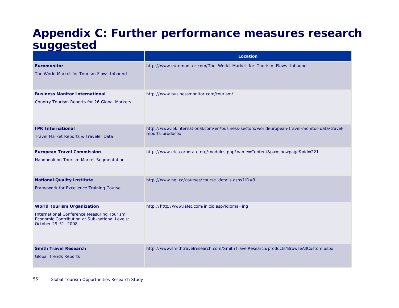# **Appendix C: Further performance measures research suggested**

|                                                                                                                                                                | Location                                                                                                           |
|----------------------------------------------------------------------------------------------------------------------------------------------------------------|--------------------------------------------------------------------------------------------------------------------|
| Euromonitor<br>The World Market for Tourism Flows Inbound                                                                                                      | http://www.euromonitor.com/The_World_Market_for_Tourism_Flows_Inbound                                              |
| <b>Business Monitor International</b><br>Country Tourism Reports for 26 Global Markets                                                                         | http://www.businessmonitor.com/tourism/                                                                            |
| <b>IPK International</b><br>Travel Market Reports & Traveler Data                                                                                              | http://www.ipkinternational.com/en/business-sectors/worldeuropean-travel-monitor-data/travel-<br>reports-products/ |
| <b>European Travel Commission</b><br>Handbook on Tourism Market Segmentation                                                                                   | http://www.etc-corporate.org/modules.php?name=Content&pa=showpage&pid=221                                          |
| <b>National Quality Institute</b><br>Framework for Excellence Training Course                                                                                  | http://www.nqi.ca/courses/course_details.aspx?ID=3                                                                 |
| <b>World Tourism Organization</b><br><b>International Conference Measuring Tourism</b><br>Economic Contribution at Sub-national Levels:<br>October 29-31, 2008 | http://http//www.iafet.com/inicio.asp?idioma=ing                                                                   |
| <b>Smith Travel Research</b><br><b>Global Trends Reports</b>                                                                                                   | http://www.smithtravelresearch.com/SmithTravelResearch/products/BrowseAllCustom.aspx                               |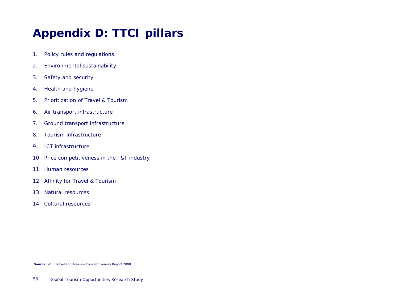# **Appendix D: TTCI pillars**

- 1. Policy rules and regulations
- 2. Environmental sustainability
- 3. Safety and security
- 4. Health and hygiene
- 5. Prioritization of Travel & Tourism
- 6. Air transport infrastructure
- 7. Ground transport infrastructure
- 8. Tourism infrastructure
- 9. ICT infrastructure
- 10. Price competitiveness in the T&T industry
- 11. Human resources
- 12. Affinity for Travel & Tourism
- 13. Natural resources
- 14. Cultural resources

**Source:** WEF Travel and Tourism Competitiveness Report 2008